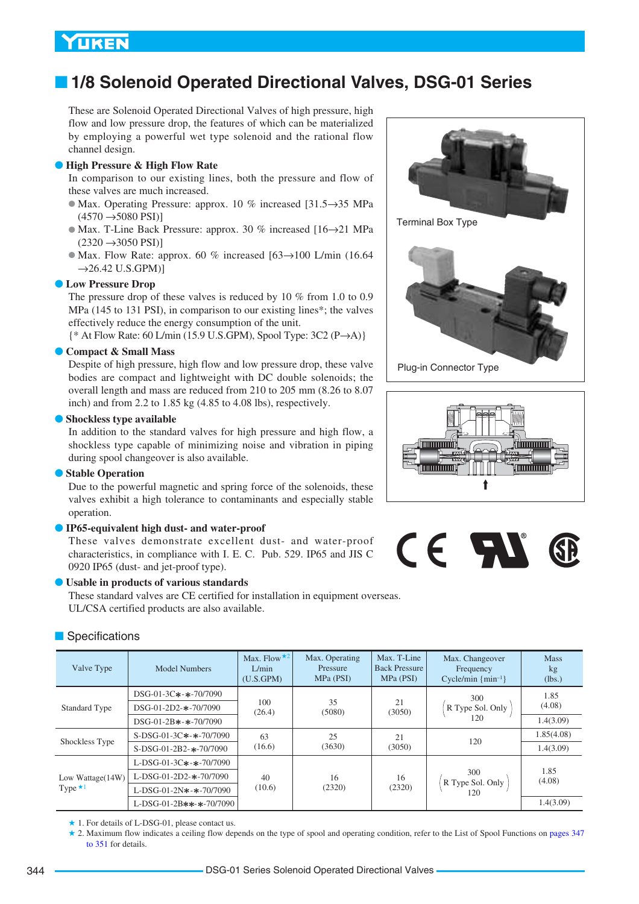# ■ **1/8 Solenoid Operated Directional Valves, DSG-01 Series**

These are Solenoid Operated Directional Valves of high pressure, high flow and low pressure drop, the features of which can be materialized by employing a powerful wet type solenoid and the rational flow channel design.

#### ● **High Pressure & High Flow Rate**

In comparison to our existing lines, both the pressure and flow of these valves are much increased.

- Max. Operating Pressure: approx. 10 % increased [31.5→35 MPa  $(4570 \rightarrow 5080$  PSI)]
- Max. T-Line Back Pressure: approx. 30 % increased [16→21 MPa  $(2320 \rightarrow 3050$  PSI)]
- $\bullet$  Max. Flow Rate: approx. 60 % increased [63 $\rightarrow$ 100 L/min (16.64)  $\rightarrow$ 26.42 U.S.GPM)]

#### ● **Low Pressure Drop**

The pressure drop of these valves is reduced by 10 % from 1.0 to 0.9 MPa (145 to 131 PSI), in comparison to our existing lines\*; the valves effectively reduce the energy consumption of the unit.

{\* At Flow Rate: 60 L/min (15.9 U.S.GPM), Spool Type: 3C2 (P→A)}

#### ● **Compact & Small Mass**

Despite of high pressure, high flow and low pressure drop, these valve bodies are compact and lightweight with DC double solenoids; the overall length and mass are reduced from 210 to 205 mm (8.26 to 8.07 inch) and from 2.2 to 1.85 kg (4.85 to 4.08 lbs), respectively.

#### ● **Shockless type available**

In addition to the standard valves for high pressure and high flow, a shockless type capable of minimizing noise and vibration in piping during spool changeover is also available.

#### ● **Stable Operation**

Due to the powerful magnetic and spring force of the solenoids, these valves exhibit a high tolerance to contaminants and especially stable operation.

### ● **IP65-equivalent high dust- and water-proof**

These valves demonstrate excellent dust- and water-proof characteristics, in compliance with I. E. C. Pub. 529. IP65 and JIS C 0920 IP65 (dust- and jet-proof type).

#### ● **Usable in products of various standards**

These standard valves are CE certified for installation in equipment overseas. UL/CSA certified products are also available.



Plug-in Connector Type





### ■ Specifications

| Valve Type                         | <b>Model Numbers</b>                             | Max. Flow $\star^2$<br>L/min<br>(U.S.GPM) | Max. Operating<br>Pressure<br>MPa (PSI) | Max. T-Line<br><b>Back Pressure</b><br>MPa (PSI) | Max. Changeover<br>Frequency<br>Cycle/min $\{min^{-1}\}$ | <b>Mass</b><br>kg<br>(lbs.) |
|------------------------------------|--------------------------------------------------|-------------------------------------------|-----------------------------------------|--------------------------------------------------|----------------------------------------------------------|-----------------------------|
| Standard Type                      | $DSG-01-3C*-*-70/7090$<br>$DSG-01-2D2-*-70/7090$ | 100<br>(26.4)                             | 35<br>(5080)                            | 21<br>(3050)                                     | 300<br>R Type Sol. Only                                  | 1.85<br>(4.08)              |
|                                    | $DSG-01-2B$ *-*-70/7090                          |                                           |                                         |                                                  | 120                                                      | 1.4(3.09)                   |
|                                    | $S-DSG-01-3C*-*-70/7090$                         | 63                                        | 25                                      | 21                                               | 120                                                      | 1.85(4.08)                  |
| Shockless Type                     | $S-DSG-01-2B2-$ *-70/7090                        | (16.6)                                    | (3630)                                  | (3050)                                           |                                                          | 1.4(3.09)                   |
|                                    | L-DSG-01-3C*-*-70/7090                           |                                           |                                         |                                                  |                                                          |                             |
| Low Wattage(14W)<br>Type $\star$ 1 | $L-DSG-01-2D2-$ *-70/7090                        | 40                                        | 16                                      | 16                                               | 300<br>R Type Sol. Only                                  | 1.85<br>(4.08)              |
|                                    | L-DSG-01-2N*-*-70/7090                           | (10.6)                                    | (2320)                                  | (2320)                                           | 120                                                      |                             |
|                                    | L-DSG-01-2B**-*-70/7090                          |                                           |                                         |                                                  |                                                          | 1.4(3.09)                   |

 $\star$  1. For details of L-DSG-01, please contact us.

★ 2. [Maximum flow indicates a ceiling flow depends on the type of spool and operating condition, refer to the List of Spool Functions on pages 347](#page-3-0) to 351 for details.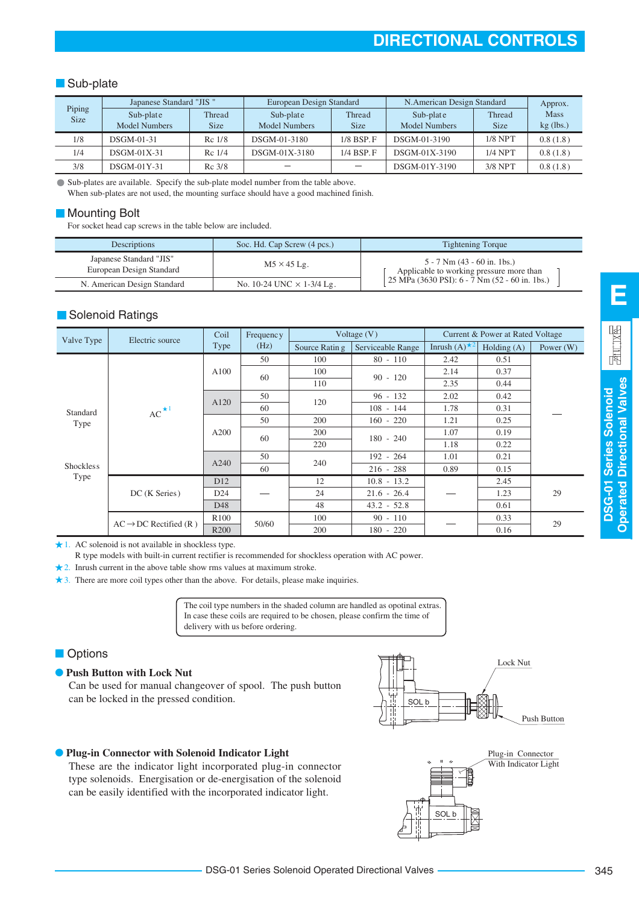### **Sub-plate**

|                       | Japanese Standard "JIS" |             | European Design Standard |                | N.American Design Standard | Approx.     |             |
|-----------------------|-------------------------|-------------|--------------------------|----------------|----------------------------|-------------|-------------|
| Piping<br><b>Size</b> | Sub-plate               | Thread      | Sub-plate                | Thread         | Sub-plate                  | Thread      | <b>Mass</b> |
|                       | Model Numbers           | <b>Size</b> | <b>Model Numbers</b>     | <b>Size</b>    | <b>Model Numbers</b>       | <b>Size</b> | $kg$ (lbs.) |
| 1/8                   | <b>DSGM-01-31</b>       | $Rc$ 1/8    | DSGM-01-3180             | $1/8$ BSP. $F$ | DSGM-01-3190               | $1/8$ NPT   | 0.8(1.8)    |
| 1/4                   | $DSGM-01X-31$           | $Rc$ 1/4    | DSGM-01X-3180            | $1/4$ BSP. $F$ | DSGM-01X-3190              | $1/4$ NPT   | 0.8(1.8)    |
| 3/8                   | $DSGM-01Y-31$           | $Rc$ 3/8    |                          |                | DSGM-01Y-3190              | $3/8$ NPT   | 0.8(1.8)    |

Sub-plates are available. Specify the sub-plate model number from the table above.

When sub-plates are not used, the mounting surface should have a good machined finish.

#### ■ Mounting Bolt

For socket head cap screws in the table below are included.

| <b>Descriptions</b>                                 | Soc. Hd. Cap Screw (4 pcs.)      | <b>Tightening Torque</b>                                                |
|-----------------------------------------------------|----------------------------------|-------------------------------------------------------------------------|
| Japanese Standard "JIS"<br>European Design Standard | $M5 \times 45$ Lg.               | 5 - 7 Nm (43 - 60 in. 1bs.)<br>Applicable to working pressure more than |
| N. American Design Standard                         | No. 10-24 UNC $\times$ 1-3/4 Lg. | 25 MPa (3630 PSI): 6 - 7 Nm (52 - 60 in. 1bs.)                          |

### Solenoid Ratings

| Valve Type       | Electric source                   | Coil             | Frequency |                | Voltage $(V)$     |                        | Current & Power at Rated Voltage |             |
|------------------|-----------------------------------|------------------|-----------|----------------|-------------------|------------------------|----------------------------------|-------------|
|                  |                                   | Type             | (Hz)      | Source Ratin g | Serviceable Range | Inrush $(A)^{\star 2}$ | Holding $(A)$                    | Power $(W)$ |
|                  |                                   |                  | 50        | 100            | $80 - 110$        | 2.42                   | 0.51                             |             |
|                  |                                   | A100             | 60        | 100            | $90 - 120$        | 2.14                   | 0.37                             |             |
|                  |                                   |                  |           | 110            |                   | 2.35                   | 0.44                             |             |
|                  |                                   | A120             | 50        | 120            | $96 - 132$        | 2.02                   | 0.42                             |             |
| Standard         | $AC^{\star 1}$                    |                  | 60        |                | $108 - 144$       | 1.78                   | 0.31                             |             |
| Type             |                                   |                  | 50        | 200            | $160 - 220$       | 1.21                   | 0.25                             |             |
|                  |                                   | A200             | 60        | 200            | $180 - 240$       | 1.07                   | 0.19                             |             |
|                  |                                   |                  |           | 220            |                   | 1.18                   | 0.22                             |             |
|                  |                                   |                  | 50        | 240            | $192 - 264$       | 1.01                   | 0.21                             |             |
| <b>Shockless</b> |                                   | A240             | 60        |                | $216 - 288$       | 0.89                   | 0.15                             |             |
| Type             |                                   | D <sub>12</sub>  |           | 12             | $10.8 - 13.2$     |                        | 2.45                             |             |
|                  | DC (K Series)                     | D24              |           | 24             | $21.6 - 26.4$     |                        | 1.23                             | 29          |
|                  |                                   | D48              |           | 48             | $43.2 - 52.8$     |                        | 0.61                             |             |
|                  | $AC \rightarrow DC$ Rectified (R) | R <sub>100</sub> | 50/60     | 100            | $90 - 110$        |                        | 0.33                             | 29          |
|                  |                                   | R <sub>200</sub> |           | 200            | $180 - 220$       |                        | 0.16                             |             |

1. AC solenoid is not available in shockless type.

R type models with built-in current rectifier is recommended for shockless operation with AC power.

2. Inrush current in the above table show rms values at maximum stroke.

3. There are more coil types other than the above. For details, please make inquiries.

The coil type numbers in the shaded column are handled as opotinal extras. In case these coils are required to be chosen, please confirm the time of delivery with us before ordering.

### ■ Options

#### ● **Push Button with Lock Nut**

Can be used for manual changeover of spool. The push button can be locked in the pressed condition.



# SOL b Plug-in Connector With Indicator Light

### ● **Plug-in Connector with Solenoid Indicator Light**

These are the indicator light incorporated plug-in connector type solenoids. Energisation or de-energisation of the solenoid can be easily identified with the incorporated indicator light.

**E**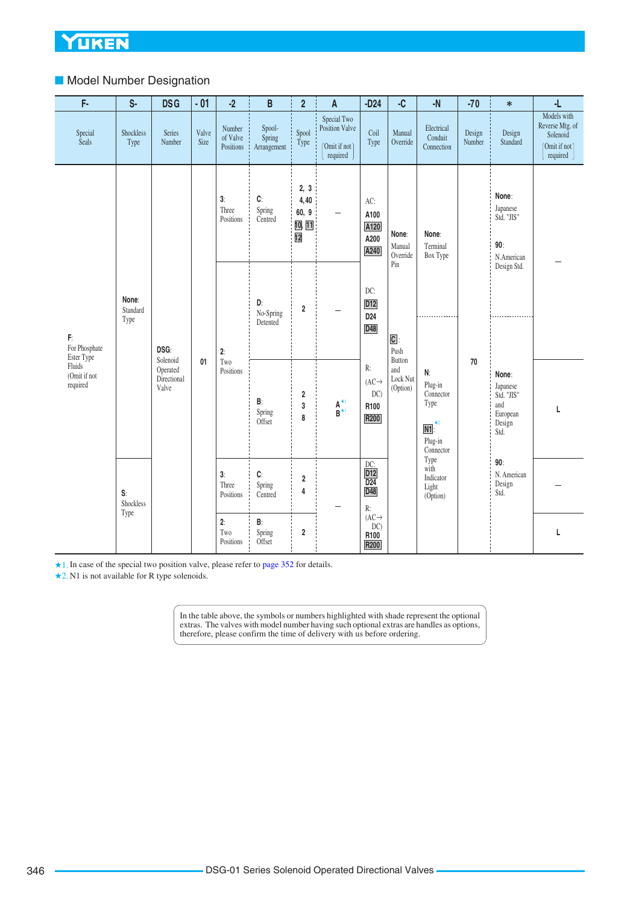# ■ Model Number Designation

| F-                                               | S-                        | <b>DSG</b>       | $-01$         | $-2$                            | B                                     | $\overline{2}$                        | A                                                          | $-D24$<br>$-C$                                             |                                     | $-N$                                           | $-70$                                         | $\ast$                                               | -L                                                                            |        |                                                                      |
|--------------------------------------------------|---------------------------|------------------|---------------|---------------------------------|---------------------------------------|---------------------------------------|------------------------------------------------------------|------------------------------------------------------------|-------------------------------------|------------------------------------------------|-----------------------------------------------|------------------------------------------------------|-------------------------------------------------------------------------------|--------|----------------------------------------------------------------------|
| Special<br><b>Seals</b>                          | Shockless<br>Type         | Series<br>Number | Valve<br>Size | Number<br>of Valve<br>Positions | Spool-<br>Spring<br>Arrangement       | Spool<br>Type                         | Special Two<br>Position Valve<br>(Omit if not)<br>required | Coil<br>Type                                               | Manual<br>Override                  | Electrical<br>Conduit<br>Connection            | Design<br>Number                              | Design<br>Standard                                   | Models with<br>Reverse Mtg. of<br>Solenoid<br>(Omit if not)<br>required       |        |                                                                      |
|                                                  |                           |                  |               | 3:<br>Three<br>Positions        | C:<br>Spring<br>Centred               | 2, 3<br>4,40<br>60, 9<br>10, 11<br>12 | $\overline{\phantom{0}}$                                   | AC:<br>A100<br>A120<br>A200<br>A240                        | None:<br>Manual<br>Override         | None:<br>Terminal<br>Box Type                  |                                               | None:<br>Japanese<br>Std. "JIS"<br>90:<br>N.American |                                                                               |        |                                                                      |
| F:<br>For Phosphate                              | None:<br>Standard<br>Type | DSG:             |               | 2:                              | D:<br>No-Spring<br>Detented           | $\overline{\mathbf{2}}$               |                                                            | DC:<br><b>D12</b><br>D <sub>24</sub><br>D48                | Pin<br>$\boxed{\text{C}}$ :<br>Push |                                                |                                               | Design Std.                                          |                                                                               |        |                                                                      |
| Ester Type<br>Fluids<br>(Omit if not<br>required |                           |                  |               |                                 |                                       |                                       | Solenoid<br>Operated<br>Directional<br>Valve               | 01<br>Two<br>Positions<br>$\mathsf{B}$<br>Spring<br>Offset | $\overline{\mathbf{2}}$<br>3<br>8   | $A_{\star 1}^{\star 1}$                        | R:<br>$(AC\rightarrow$<br>DC)<br>R100<br>R200 | Button<br>and<br>Lock Nut<br>(Option)                | N:<br>Plug-in<br>Connector<br>Type<br>$\star_2$<br>N1<br>Plug-in<br>Connector | $70\,$ | None:<br>Japanese<br>Std. "JIS"<br>and<br>European<br>Design<br>Std. |
|                                                  | S:<br>Shockless           |                  |               | 3:<br>Three<br>Positions        | C:<br>Spring<br>Centred               | $\overline{\mathbf{2}}$<br>4          |                                                            | $DC:$<br>$D12$<br>$\overline{D24}$<br>D48<br>$R$ :         |                                     | Type<br>with<br>Indicator<br>Light<br>(Option) |                                               | 90:<br>N. American<br>Design<br>Std.                 |                                                                               |        |                                                                      |
|                                                  | Type                      |                  |               | 2:<br>Two<br>Positions          | B:<br>Spring<br>$\mathbf 2$<br>Offset |                                       |                                                            | $(AC\rightarrow$<br>DC)<br>R100<br>R200                    |                                     |                                                |                                               |                                                      | L                                                                             |        |                                                                      |

★1. In case of the special two position valve, please refer to [page 352](#page-8-0) for details.

★2. N1 is not available for R type solenoids.

In the table above, the symbols or numbers highlighted with shade represent the optional extras. The valves with model number having such optional extras are handles as options, therefore, please confirm the time of delivery with us before ordering.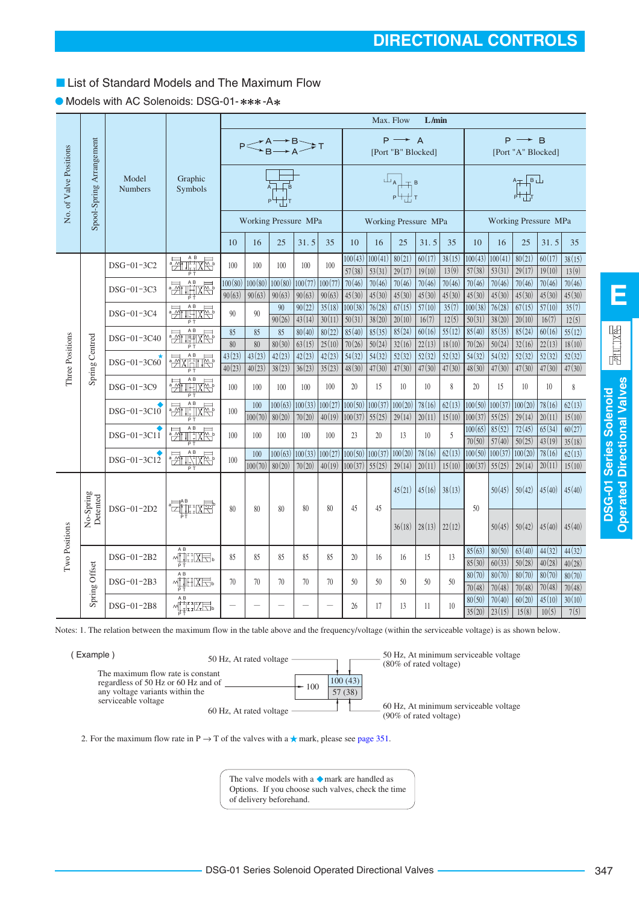# <span id="page-3-0"></span>■ List of Standard Models and The Maximum Flow

|                        |                          |                         |                                         |          | Max. Flow<br>L/min |              |                                                                          |                  |                   |                      |                                             |                               |                  |                    |                      |                                                                         |                  |                  |
|------------------------|--------------------------|-------------------------|-----------------------------------------|----------|--------------------|--------------|--------------------------------------------------------------------------|------------------|-------------------|----------------------|---------------------------------------------|-------------------------------|------------------|--------------------|----------------------|-------------------------------------------------------------------------|------------------|------------------|
|                        |                          |                         |                                         |          |                    |              | $P \leq^{\text{A} \rightarrow \text{B}}_{\text{B} \rightarrow \text{A}}$ |                  |                   |                      | $P \longrightarrow A$<br>[Port "B" Blocked] |                               |                  |                    |                      | $P \rightarrow B$<br>[Port "A" Blocked]                                 |                  |                  |
| No. of Valve Positions | Spool-Spring Arrangement | Model<br><b>Numbers</b> | Graphic<br>Symbols                      |          |                    |              |                                                                          |                  |                   |                      |                                             |                               |                  |                    |                      | $\begin{array}{c}\nA + B \\ \downarrow \\ B + \frac{1}{2}\n\end{array}$ |                  |                  |
|                        |                          |                         |                                         |          |                    |              | <b>Working Pressure MPa</b>                                              |                  |                   | Working Pressure MPa |                                             |                               |                  |                    | Working Pressure MPa |                                                                         |                  |                  |
|                        |                          |                         |                                         | 10       | 16                 | 25           | 31.5                                                                     | 35               | 10                | 16                   | 25                                          | 31.5                          | 35               | 10                 | 16                   | 25                                                                      | 31.5             | 35               |
|                        |                          | DSG-01-3C2              | <b>Zuthxe</b>                           | 100      | 100                | 100          | 100                                                                      | 100              | 100(43)<br>57(38) | 100(41)<br>53(31)    | 80(21)<br>29(17)                            | 60(17)<br>19(10)              | 38(15)<br>13(9)  | 100(43)<br>57(38)  | 100(41)<br>53(31)    | 80(21)<br>29(17)                                                        | 60(17)<br>19(10) | 38(15)<br>13(9)  |
|                        |                          | DSG-01-3C3              | P <sub>T</sub><br>$\overline{M}$<br>집   | 100(80)  | 100(80)            | 100(80)      | 100(77)                                                                  | 100(77)          | 70(46)            | 70(46)               | 70(46)                                      | 70(46)                        | 70(46)           | 70(46)             | 70(46)               | 70(46)                                                                  | 70(46)           | 70(46)           |
|                        |                          |                         | re<br><b>非收</b><br>$\frac{1}{2}$        | 90(63)   | 90(63)             | 90(63)<br>90 | 90(63)<br>90(22)                                                         | 90(63)<br>35(18) | 45(30)<br>100(38) | 45(30)<br>76(28)     | 45(30)<br>67(15)                            | 45(30)<br>$\overline{57(10)}$ | 45(30)<br>35(7)  | 45(30)<br>100(38)  | 45(30)<br>76(28)     | 45(30)<br>$\overline{67(15)}$                                           | 45(30)<br>57(10) | 45(30)<br>35(7)  |
|                        |                          | DSG-01-3C4              |                                         | 90       | 90                 | 90(26)       | 43(14)                                                                   | 30(11)           | 50(31)            | 38(20)               | 20(10)                                      | 16(7)                         | 12(5)            | 50(31)             | 38(20)               | 20(10)                                                                  | 16(7)            | 12(5)            |
| Three Positions        |                          | DSG-01-3C40             | <b>Zurnal</b>                           | 85<br>80 | 85<br>80           | 85<br>80(30) | 80(40)<br>63(15)                                                         | 80(22)<br>25(10) | 85(40)<br>70(26)  | 85(35)<br>50(24)     | 85(24)<br>32(16)                            | 60(16)<br>22(13)              | 55(12)<br>18(10) | 85(40)<br>70(26)   | 85(35)<br>50(24)     | 85(24)<br>32(16)                                                        | 60(16)<br>22(13) | 55(12)<br>18(10) |
|                        | Spring Centred           | DSG-01-3C60             | $\mathsf A$ B<br>- 공사 (H)<br>- 이 사이 (H) | 43(23)   | 43(23)             | 42(23)       | 42(23)                                                                   | 42(23)           | 54(32)            | 54(32)               | 52(32)                                      | 52(32)                        | 52(32)           | 54(32)             | 54(32)               | 52(32)                                                                  | 52(32)           | 52(32)           |
|                        |                          |                         |                                         | 40(23)   | 40(23)             | 38(23)       | 36(23)                                                                   | 35(23)           | 48(30)            | 47(30)               | 47(30)                                      | 47(30)                        | 47(30)           | 48(30)             | 47(30)               | 47(30)                                                                  | 47(30)           | 47(30)           |
|                        |                          | DSG-01-3C9              | A B<br><b>Extract</b><br>P <sub>T</sub> | 100      | 100                | 100          | 100                                                                      | 100              | 20                | 15                   | 10                                          | 10                            | 8                | 20                 | 15                   | 10                                                                      | 10               | 8                |
|                        |                          | DSG-01-3C10             | $\frac{1}{2}$                           | 100      | 100                | 100(63)      | 100(33)                                                                  | 100(27)          | 100(50)           | 100(37)              | 100(20)                                     | 78(16)                        | 62(13)           | 100(50)            | 100(37)              | 100(20)                                                                 | 78(16)           | 62(13)           |
|                        |                          |                         | A B                                     |          | 100(70)            | 80(20)       | 70(20)                                                                   | 40(19)           | 100(37)           | 55(25)               | 29(14)                                      | 20(11)                        | 15(10)           | 100(37)<br>100(65) | 55(25)<br>85(52)     | 29(14)<br>72(45)                                                        | 20(11)<br>65(34) | 15(10)<br>60(27) |
|                        |                          | DSG-01-3C11             | $\frac{1}{2}$<br><u> 때 18전</u>          | 100      | 100                | 100          | 100                                                                      | 100              | 23                | 20 <sup>2</sup>      | 13                                          | 10                            | 5                | 70(50)             | 57(40)               | 50(25)                                                                  | 43(19)           | 35(18)           |
|                        |                          | DSG-01-3C12             | <b>ZULAR</b>                            | 100      | 100                | 100(63)      | 100(33)                                                                  | 100(27)          | 100(50)           | 100(37)              | 100(20)                                     | 78(16)                        | 62(13)           | 100(50)            | 100(37)              | 100(20)                                                                 | 78(16)           | 62(13)           |
|                        |                          |                         |                                         |          | 100(70)            | 80(20)       | 70(20)                                                                   | 40(19)           | 100(37)           | 55(25)               | 29(14)                                      | 20(11)                        | 15(10)           | 100(37)            | 55(25)               | 29(14)                                                                  | 20(11)           | 15(10)           |
|                        | No-Spring<br>Detented    | DSG-01-2D2              | ett: xe                                 | 80       | 80                 | 80           | 80                                                                       | 80               | 45                | 45                   | 45(21)                                      | 45(16)                        | 38(13)           | 50                 | 50(45)               | 50(42)                                                                  | 45(40)           | 45(40)           |
| Two Positions          |                          |                         |                                         |          |                    |              |                                                                          |                  |                   |                      | 36(18)                                      | 28(13)                        | 22(12)           |                    | 50(45)               | 50(42)                                                                  | 45(40)           | 45(40)           |
|                        |                          | DSG-01-2B2              | A B<br>M∐IIKE,                          | 85       | 85                 | 85           | 85                                                                       | 85               | 20                | 16                   | 16                                          | 15                            | 13               | 85(63)             | 80(50)               | 63(40)                                                                  | 44(32)           | 44(32)           |
|                        |                          |                         | A B                                     |          |                    |              |                                                                          |                  |                   |                      |                                             |                               |                  | 85(30)<br>80(70)   | 60(33)<br>80(70)     | 50(28)<br>80(70)                                                        | 40(28)<br>80(70) | 40(28)<br>80(70) |
|                        | Spring Offset            | DSG-01-2B3              | <b>MIHIXE</b>                           | 70       | 70                 | 70           | 70                                                                       | 70               | 50                | 50                   | 50                                          | 50                            | 50               | 70(48)             | 70(48)               | 70(48)                                                                  | 70(48)           | 70(48)           |
|                        |                          | DSG-01-2B8              | A B<br><b>MELLE</b>                     |          |                    |              |                                                                          |                  | 26                | 17                   | 13                                          | 11                            | 10               | 80(50)             | 70(40)               | 60(20)                                                                  | 45(10)           | 30(10)           |
|                        |                          |                         |                                         |          |                    |              |                                                                          |                  |                   |                      |                                             |                               |                  | 35(20)             | 23(15)               | 15(8)                                                                   | 10(5)            | 7(5)             |

### ● Models with AC Solenoids: DSG-01-\*\*\*-A\*

Notes: 1. The relation between the maximum flow in the table above and the frequency/voltage (within the serviceable voltage) is as shown below.



2. For the maximum flow rate in P  $\rightarrow$  T of the valves with a  $\star$  mark, please see [page 351](#page-7-0).

The valve models with a  $\blacklozenge$  mark are handled as Options. If you choose such valves, check the time of delivery beforehand.

**E**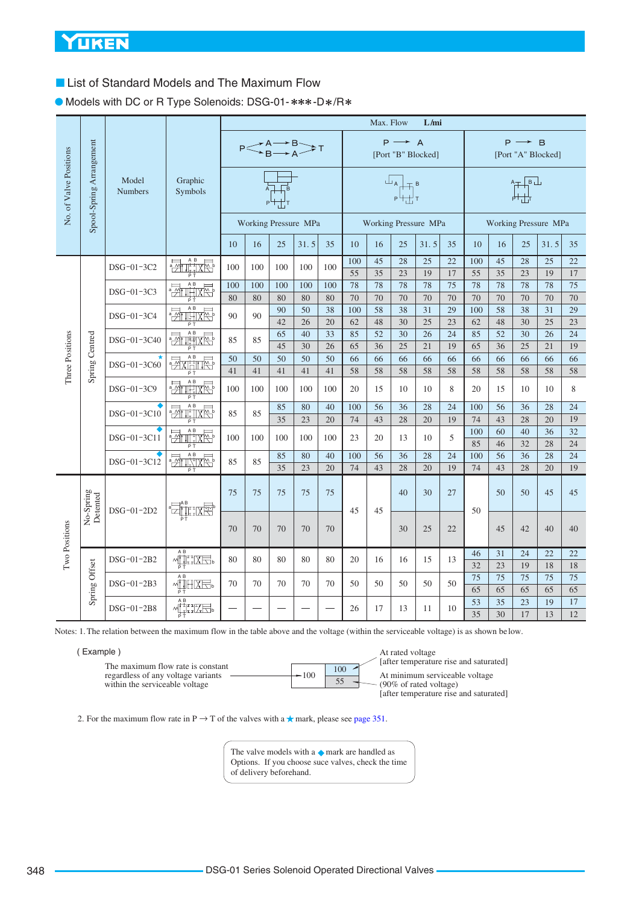■ List of Standard Models and The Maximum Flow

● Models with DC or R Type Solenoids: DSG-01- \*\*\*-D\*/R\*

|                        |                          |                         |                                                                                                                                                                                                                                                                                                                                                     | Max. Flow<br>L/mi |          |          |                                              |          |           |          |                                                                                                                                                                                                                                                                                                                                                                                                                                                                                                                    |                      |          |           |                                                                                          |                   |                      |          |  |
|------------------------|--------------------------|-------------------------|-----------------------------------------------------------------------------------------------------------------------------------------------------------------------------------------------------------------------------------------------------------------------------------------------------------------------------------------------------|-------------------|----------|----------|----------------------------------------------|----------|-----------|----------|--------------------------------------------------------------------------------------------------------------------------------------------------------------------------------------------------------------------------------------------------------------------------------------------------------------------------------------------------------------------------------------------------------------------------------------------------------------------------------------------------------------------|----------------------|----------|-----------|------------------------------------------------------------------------------------------|-------------------|----------------------|----------|--|
|                        |                          |                         |                                                                                                                                                                                                                                                                                                                                                     |                   |          |          | $P \leq^{A \rightarrow B}_{B \rightarrow A}$ |          |           |          | $P \longrightarrow A$                                                                                                                                                                                                                                                                                                                                                                                                                                                                                              | [Port "B" Blocked]   |          |           |                                                                                          | $P \rightarrow B$ | [Port "A" Blocked]   |          |  |
| No. of Valve Positions | Spool-Spring Arrangement | Model<br><b>Numbers</b> | Graphic<br>Symbols                                                                                                                                                                                                                                                                                                                                  |                   |          |          |                                              |          |           |          | $\begin{array}{c}\n\Box_A \\ \hline\n\vdots \\ \hline\n\vdots \\ \hline\n\vdots \\ \hline\n\vdots \\ \hline\n\vdots \\ \hline\n\vdots \\ \hline\n\vdots \\ \hline\n\vdots \\ \hline\n\vdots \\ \hline\n\vdots \\ \hline\n\vdots \\ \hline\n\vdots \\ \hline\n\vdots \\ \hline\n\vdots \\ \hline\n\vdots \\ \hline\n\vdots \\ \hline\n\vdots \\ \hline\n\vdots \\ \hline\n\vdots \\ \hline\n\vdots \\ \hline\n\vdots \\ \hline\n\vdots \\ \hline\n\vdots \\ \hline\n\vdots \\ \hline\n\vdots \\ \hline\n\vdots \\ $ |                      |          |           | $\begin{array}{c}\nA + B \ \downarrow \\ \downarrow \\ P + \downarrow \\ T\n\end{array}$ |                   |                      |          |  |
|                        |                          |                         |                                                                                                                                                                                                                                                                                                                                                     |                   |          |          | Working Pressure MPa                         |          |           |          |                                                                                                                                                                                                                                                                                                                                                                                                                                                                                                                    | Working Pressure MPa |          |           |                                                                                          |                   | Working Pressure MPa |          |  |
|                        |                          |                         |                                                                                                                                                                                                                                                                                                                                                     | 10                | 16       | 25       | 31.5                                         | 35       | 10        | 16       | 25                                                                                                                                                                                                                                                                                                                                                                                                                                                                                                                 | 31.5                 | 35       | 10        | 16                                                                                       | 25                | 31.5                 | 35       |  |
|                        |                          | DSG-01-3C2              | <b>Filter</b>                                                                                                                                                                                                                                                                                                                                       | 100               | 100      | 100      | 100                                          | 100      | 100<br>55 | 45<br>35 | 28<br>23                                                                                                                                                                                                                                                                                                                                                                                                                                                                                                           | 25<br>19             | 22<br>17 | 100<br>55 | 45<br>35                                                                                 | 28<br>23          | 25<br>19             | 22<br>17 |  |
|                        |                          | DSG-01-3C3              | <b>Zullixe</b>                                                                                                                                                                                                                                                                                                                                      | 100               | 100      | 100      | 100                                          | 100      | 78        | 78       | 78                                                                                                                                                                                                                                                                                                                                                                                                                                                                                                                 | 78                   | 75       | 78        | 78                                                                                       | 78                | 78                   | 75       |  |
|                        |                          | DSG-01-3C4              | $\frac{1}{2}$                                                                                                                                                                                                                                                                                                                                       | 80<br>90          | 80<br>90 | 80<br>90 | 80<br>50                                     | 80<br>38 | 70<br>100 | 70<br>58 | 70<br>38                                                                                                                                                                                                                                                                                                                                                                                                                                                                                                           | 70<br>31             | 70<br>29 | 70<br>100 | 70<br>58                                                                                 | 70<br>38          | 70<br>31             | 70<br>29 |  |
|                        |                          |                         |                                                                                                                                                                                                                                                                                                                                                     |                   |          | 42       | 26                                           | 20       | 62        | 48       | 30                                                                                                                                                                                                                                                                                                                                                                                                                                                                                                                 | 25                   | 23       | 62        | 48                                                                                       | 30                | 25                   | 23       |  |
| Three Positions        | Spring Centred           | DSG-01-3C40             | $\frac{1}{2}$                                                                                                                                                                                                                                                                                                                                       | 85                | 85       | 65<br>45 | 40<br>30                                     | 33<br>26 | 85<br>65  | 52<br>36 | 30<br>25                                                                                                                                                                                                                                                                                                                                                                                                                                                                                                           | 26<br>21             | 24<br>19 | 85<br>65  | 52<br>36                                                                                 | 30<br>25          | 26<br>21             | 24<br>19 |  |
|                        |                          |                         | <b>ZXHILE</b>                                                                                                                                                                                                                                                                                                                                       | 50                | 50       | 50       | 50                                           | 50       | 66        | 66       | 66                                                                                                                                                                                                                                                                                                                                                                                                                                                                                                                 | 66                   | 66       | 66        | 66                                                                                       | 66                | 66                   | 66       |  |
|                        |                          | DSG-01-3C60             |                                                                                                                                                                                                                                                                                                                                                     | 41                | 41       | 41       | 41                                           | 41       | 58        | 58       | 58                                                                                                                                                                                                                                                                                                                                                                                                                                                                                                                 | 58                   | 58       | 58        | 58                                                                                       | 58                | 58                   | 58       |  |
|                        |                          | DSG-01-3C9              | <b>Zuring</b><br>ΡŤ                                                                                                                                                                                                                                                                                                                                 | 100               | 100      | 100      | 100                                          | 100      | 20        | 15       | 10                                                                                                                                                                                                                                                                                                                                                                                                                                                                                                                 | 10                   | 8        | 20        | 15                                                                                       | 10                | 10                   | 8        |  |
|                        |                          |                         | $\frac{1}{2}$                                                                                                                                                                                                                                                                                                                                       |                   |          | 85       | 80                                           | 40       | 100       | 56       | 36                                                                                                                                                                                                                                                                                                                                                                                                                                                                                                                 | 28                   | 24       | 100       | 56                                                                                       | 36                | 28                   | 24       |  |
|                        |                          | DSG-01-3C10             |                                                                                                                                                                                                                                                                                                                                                     | 85                | 85       | 35       | 23                                           | 20       | 74        | 43       | 28                                                                                                                                                                                                                                                                                                                                                                                                                                                                                                                 | 20                   | 19       | 74        | 43                                                                                       | 28                | 20                   | 19       |  |
|                        |                          | DSG-01-3C11             | $\frac{1}{2}$                                                                                                                                                                                                                                                                                                                                       | 100               | 100      | 100      | 100                                          | 100      | 23        | 20       | 13                                                                                                                                                                                                                                                                                                                                                                                                                                                                                                                 | 10                   | 5        | 100<br>85 | 60<br>46                                                                                 | 40<br>32          | 36<br>28             | 32<br>24 |  |
|                        |                          |                         | $\frac{1}{2}$                                                                                                                                                                                                                                                                                                                                       |                   |          | 85       | 80                                           | 40       | 100       | 56       | 36                                                                                                                                                                                                                                                                                                                                                                                                                                                                                                                 | 28                   | 24       | 100       | 56                                                                                       | 36                | 28                   | 24       |  |
|                        |                          | DSG-01-3C12             |                                                                                                                                                                                                                                                                                                                                                     | 85                | 85       | 35       | 23                                           | 20       | 74        | 43       | 28                                                                                                                                                                                                                                                                                                                                                                                                                                                                                                                 | 20                   | 19       | 74        | 43                                                                                       | 28                | 20                   | 19       |  |
|                        | No-Spring<br>Detented    | DSG-01-2D2              | <sup>a</sup> zil::XP                                                                                                                                                                                                                                                                                                                                | 75                | 75       | 75       | 75                                           | 75       | 45        | 45       | 40                                                                                                                                                                                                                                                                                                                                                                                                                                                                                                                 | 30                   | 27       | 50        | 50                                                                                       | 50                | 45                   | 45       |  |
| Two Positions          |                          |                         |                                                                                                                                                                                                                                                                                                                                                     | 70                | 70       | 70       | 70                                           | 70       |           |          | 30                                                                                                                                                                                                                                                                                                                                                                                                                                                                                                                 | 25                   | 22       |           | 45                                                                                       | 42                | 40                   | 40       |  |
|                        |                          | DSG-01-2B2              | A B<br><b>MULLXE</b>                                                                                                                                                                                                                                                                                                                                | 80                | 80       | 80       | 80                                           | 80       | 20        | 16       | 16                                                                                                                                                                                                                                                                                                                                                                                                                                                                                                                 | 15                   | 13       | 46        | 31                                                                                       | 24                | 22                   | 22       |  |
|                        |                          |                         | ΡŤ                                                                                                                                                                                                                                                                                                                                                  |                   |          |          |                                              |          |           |          |                                                                                                                                                                                                                                                                                                                                                                                                                                                                                                                    |                      |          | 32        | 23                                                                                       | 19                | 18                   | 18       |  |
|                        | Spring Offset            | DSG-01-2B3              | $\begin{picture}(120,115) \put(0,0){\line(1,0){15}} \put(15,0){\line(1,0){15}} \put(15,0){\line(1,0){15}} \put(15,0){\line(1,0){15}} \put(15,0){\line(1,0){15}} \put(15,0){\line(1,0){15}} \put(15,0){\line(1,0){15}} \put(15,0){\line(1,0){15}} \put(15,0){\line(1,0){15}} \put(15,0){\line(1,0){15}} \put(15,0){\line(1,0){15}} \put(15,0){\line$ | 70                | 70       | 70       | 70                                           | 70       | 50        | 50       | 50                                                                                                                                                                                                                                                                                                                                                                                                                                                                                                                 | 50                   | 50       | 75<br>65  | 75<br>65                                                                                 | 75                | 75<br>65             | 75<br>65 |  |
|                        |                          |                         | A B                                                                                                                                                                                                                                                                                                                                                 |                   |          |          |                                              |          |           |          |                                                                                                                                                                                                                                                                                                                                                                                                                                                                                                                    |                      |          | 53        | 35                                                                                       | 65<br>23          | 19                   | 17       |  |
|                        |                          | DSG-01-2B8              | MTHZE.                                                                                                                                                                                                                                                                                                                                              |                   |          |          |                                              |          | 26        | 17       | 13                                                                                                                                                                                                                                                                                                                                                                                                                                                                                                                 | 11                   | 10       | 35        | 30                                                                                       | 17                | 13                   | 12       |  |

Notes: 1. The relation between the maximum flow in the table above and the voltage (within the serviceable voltage) is as shown be low.

| Example |  |
|---------|--|
|         |  |

| The maximum flow rate is constant<br>regardless of any voltage variants | 100 | 100 |
|-------------------------------------------------------------------------|-----|-----|
| within the serviceable voltage                                          |     |     |

At rated voltage  $\frac{1}{2}$  [after temperature rise and saturated] At minimum serviceable voltage (90% of rated voltage) [after temperature rise and saturated]

2. For the maximum flow rate in P  $\rightarrow$  T of the valves with a  $\star$  mark, please see [page 351.](#page-7-0)

The valve models with a  $\blacklozenge$  mark are handled as Options. If you choose suce valves, check the time of delivery beforehand.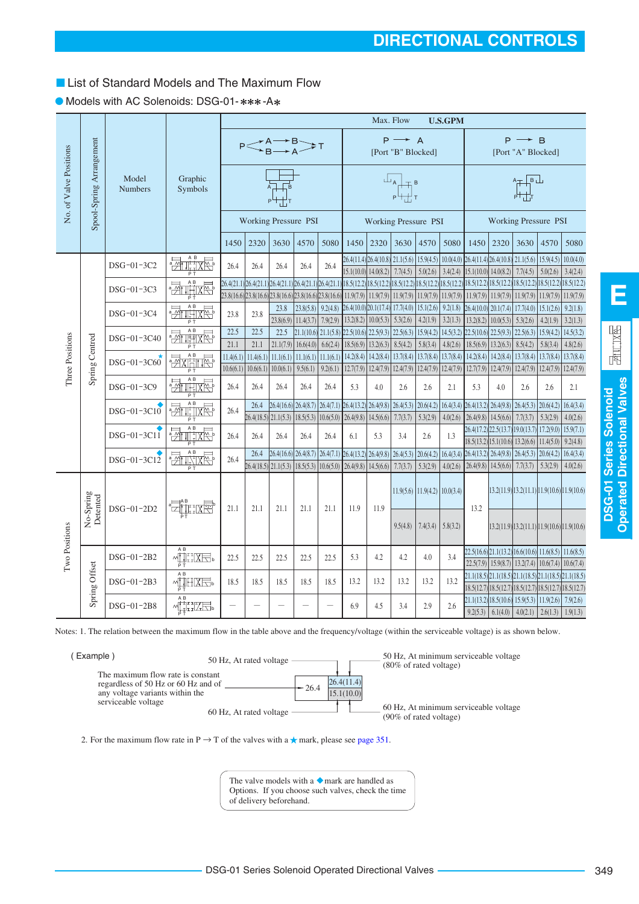50 Hz, At minimum serviceable voltage

| The valve models with a $\bullet$ mark are handled as |
|-------------------------------------------------------|
| Options. If you choose such valves, check the time    |
| of delivery beforehand.                               |

26.4(11.4)

15.1(10.0)

60 Hz, At rated voltage  $\frac{1}{\sqrt{60 \pi}} \int_{0.00\%}^{0.00\%}$  of rated voltage

50 Hz, At rated voltage  $\overline{\qquad}$   $\overline{\qquad}$   $\overline{\qquad}$   $\overline{\qquad}$  (80% of rated voltage)

# ■ List of Standard Models and The Maximum Flow

|                        |                          |                         |                                                          |              |      | $P \leq A \rightarrow B \rightarrow A$                 |                                    |           |                                                                      |                       | $P \longrightarrow A$<br>[Port "B" Blocked]                                                                                  |                                 |                       |                                                                                                       |                                                   | $P \rightarrow B$<br>[Port "A" Blocked]                                                                                                                                                                                                                                                                                                     |                                                                                                                       |                       |
|------------------------|--------------------------|-------------------------|----------------------------------------------------------|--------------|------|--------------------------------------------------------|------------------------------------|-----------|----------------------------------------------------------------------|-----------------------|------------------------------------------------------------------------------------------------------------------------------|---------------------------------|-----------------------|-------------------------------------------------------------------------------------------------------|---------------------------------------------------|---------------------------------------------------------------------------------------------------------------------------------------------------------------------------------------------------------------------------------------------------------------------------------------------------------------------------------------------|-----------------------------------------------------------------------------------------------------------------------|-----------------------|
| No. of Valve Positions | Spool-Spring Arrangement | Model<br><b>Numbers</b> | Graphic<br>Symbols                                       |              |      |                                                        |                                    |           |                                                                      |                       | $\begin{array}{c}\n\perp_{\mathsf{A}} \\ \downarrow_{\mathsf{P}}\downarrow_{\mathsf{L}}\downarrow_{\mathsf{T}}\n\end{array}$ |                                 |                       |                                                                                                       |                                                   | $\begin{picture}(120,115) \put(0,0){\line(1,0){150}} \put(15,0){\line(1,0){150}} \put(15,0){\line(1,0){150}} \put(15,0){\line(1,0){150}} \put(15,0){\line(1,0){150}} \put(15,0){\line(1,0){150}} \put(15,0){\line(1,0){150}} \put(15,0){\line(1,0){150}} \put(15,0){\line(1,0){150}} \put(15,0){\line(1,0){150}} \put(15,0){\line(1,0){150$ |                                                                                                                       |                       |
|                        |                          |                         |                                                          |              |      | Working Pressure PSI                                   |                                    |           |                                                                      |                       |                                                                                                                              | <b>Working Pressure PSI</b>     |                       |                                                                                                       |                                                   |                                                                                                                                                                                                                                                                                                                                             | Working Pressure PSI                                                                                                  |                       |
|                        |                          |                         |                                                          | 1450         | 2320 | 3630                                                   | 4570                               | 5080      | 1450                                                                 | 2320                  | 3630                                                                                                                         | 4570                            | 5080                  | 1450                                                                                                  | 2320                                              | 3630                                                                                                                                                                                                                                                                                                                                        | 4570                                                                                                                  | 5080                  |
|                        |                          | DSG-01-3C2              | $\frac{1}{2}$<br>ΡŤ                                      | 26.4         | 26.4 | 26.4                                                   | 26.4                               | 26.4      | 26.4(11.4) 26.4(10.8) 21.1(5.6)<br>$15.1(10.0)$ 14.0(8.2)            |                       | 7.7(4.5)                                                                                                                     | 5.0(2.6)                        | 3.4(2.4)              | $15.9(4.5)$ $10.0(4.0)$ $26.4(11.4)$ $26.4(10.8)$ $21.1(5.6)$ $15.9(4.5)$<br>$15.1(10.0)$ $14.0(8.2)$ |                                                   | 7.7(4.5)                                                                                                                                                                                                                                                                                                                                    | 5.0(2.6)                                                                                                              | 10.0(4.0)<br>3.4(2.4) |
|                        |                          | DSG-01-3C3              | <b>Exhibit</b>                                           |              |      | 26.4(21.1) 26.4(21.1) 26.4(21.1) 26.4(21.1) 26.4(21.1) |                                    |           |                                                                      |                       |                                                                                                                              |                                 |                       |                                                                                                       |                                                   |                                                                                                                                                                                                                                                                                                                                             | 18.5(12.2) 18.5(12.2) 18.5(12.2) 18.5(12.2) 18.5(12.2) 18.5(12.2) 18.5(12.2) 18.5(12.2) 18.5(12.2) 18.5(12.2)         |                       |
|                        |                          |                         |                                                          |              |      | 23.8(16.6) 23.8(16.6) 23.8(16.6) 23.8(16.6) 23.8(16.6) |                                    |           | $11.9(7.9)$ 11.9(7.9) 11.9(7.9)                                      |                       |                                                                                                                              |                                 |                       |                                                                                                       |                                                   |                                                                                                                                                                                                                                                                                                                                             | $\left[11.9(7.9)\right]11.9(7.9)\left[11.9(7.9)\right]11.9(7.9)\left[11.9(7.9)\right]11.9(7.9)\left[11.9(7.9)\right]$ |                       |
|                        |                          | DSG-01-3C4              | <b>Friday</b>                                            | 23.8         | 23.8 | 23.8                                                   | $23.8(5.8)$ 9.2(4.8)               |           | 26.4(10.0) 20.1(17.4) 17.7(4.0)                                      |                       |                                                                                                                              |                                 |                       | $15.1(2.6)$ 9.2(1.8) 26.4(10.0) 20.1(7.4)                                                             |                                                   |                                                                                                                                                                                                                                                                                                                                             | $17.7(4.0)$ 15.1(2.6)                                                                                                 | 9.2(1.8)              |
|                        |                          |                         |                                                          |              |      | 23.8(6.9)                                              | 11.4(3.7)                          | 7.9(2.9)  | $13.2(8.2)$ 10.0(5.3)                                                |                       | 5.3(2.6)                                                                                                                     | 4.2(1.9)                        | 3.2(1.3)              |                                                                                                       | $13.2(8.2)$ 10.0(5.3)                             | 5.3(2.6)                                                                                                                                                                                                                                                                                                                                    | 4.2(1.9)                                                                                                              | 3.2(1.3)              |
| Three Positions        |                          | DSG-01-3C40             | <b>Zurnal</b>                                            | 22.5<br>21.1 | 22.5 | 22.5                                                   |                                    |           | $\left  21.1(10.6) \right  21.1(5.8) 22.5(10.6) 22.5(9.3) 22.5(6.3)$ |                       |                                                                                                                              |                                 |                       | $15.9(4.2)$ $14.5(3.2)$ $22.5(10.6)$ $22.5(9.3)$                                                      | $18.5(6.9)$ 13.2(6.3)                             | 22.5(6.3)                                                                                                                                                                                                                                                                                                                                   | $15.9(4.2)$ 14.5(3.2)                                                                                                 |                       |
|                        |                          |                         |                                                          | 11.4(6.1)    | 21.1 | 21.1(7.9)<br>$11.4(6.1)$ 11.1(6.1)                     | 16.6(4.0)<br>$11.1(6.1)$ 11.1(6.1) | 6.6(2.4)  | $18.5(6.9)$ 13.2(6.3)<br>14.2(8.4)                                   | $14.2(8.4)$ 13.7(8.4) | 8.5(4.2)                                                                                                                     | 5.8(3.4)<br>13.7(8.4)           | 4.8(2.6)<br>13.7(8.4) |                                                                                                       | $14.2(8.4)$ 14.2(8.4)                             | 8.5(4.2)<br>13.7(8.4)                                                                                                                                                                                                                                                                                                                       | 5.8(3.4)<br>$13.7(8.4)$ 13.7(8.4)                                                                                     | 4.8(2.6)              |
|                        | Spring Centred           | DSG-01-3C60             | $\frac{1}{\sqrt{2}}\frac{1}{\sqrt{2}}\frac{1}{\sqrt{2}}$ | 10.6(6.1)    |      | $10.6(6.1)$ 10.0(6.1)                                  | 9.5(6.1)                           | 9.2(6.1)  | $12.7(7.9)$ 12.4(7.9)                                                |                       | 12.4(7.9)                                                                                                                    | 12.4(7.9)                       | 12.4(7.9)             | $12.7(7.9)$ 12.4(7.9)                                                                                 |                                                   | 12.4(7.9)                                                                                                                                                                                                                                                                                                                                   | 12.4(7.9)                                                                                                             | 12.4(7.9)             |
|                        |                          | DSG-01-3C9              | <b>FANIFIXE</b>                                          | 26.4         | 26.4 | 26.4                                                   | 26.4                               | 26.4      | 5.3                                                                  | 4.0                   | 2.6                                                                                                                          | 2.6                             | 2.1                   | 5.3                                                                                                   | 4.0                                               | 2.6                                                                                                                                                                                                                                                                                                                                         | 2.6                                                                                                                   | 2.1                   |
|                        |                          |                         | <b>FANTING</b>                                           |              | 26.4 |                                                        |                                    |           | $26.4(16.6)$ $26.4(8.7)$ $26.4(7.1)$ $26.4(13.2)$ $26.4(9.8)$        |                       | 26.4(5.3)                                                                                                                    |                                 |                       | $20.6(4.2)$ $16.4(3.4)$ $26.4(13.2)$ $26.4(9.8)$ $26.4(5.3)$ $20.6(4.2)$                              |                                                   |                                                                                                                                                                                                                                                                                                                                             |                                                                                                                       | 16.4(3.4)             |
|                        |                          | DSG-01-3C10             |                                                          | 26.4         |      | $26.4(18.5)$ $21.1(5.3)$ $18.5(5.3)$ $10.6(5.0)$       |                                    |           | $26.4(9.8)$ 14.5(6.6)                                                |                       | 7.7(3.7)                                                                                                                     | 5.3(2.9)                        | 4.0(2.6)              | $26.4(9.8)$ 14.5(6.6)                                                                                 |                                                   | 7.7(3.7)                                                                                                                                                                                                                                                                                                                                    | 5.3(2.9)                                                                                                              | 4.0(2.6)              |
|                        |                          | DSG-01-3C11             | $\frac{1}{2}$                                            | 26.4         | 26.4 | 26.4                                                   | 26.4                               | 26.4      | 6.1                                                                  | 5.3                   | 3.4                                                                                                                          | 2.6                             | 1.3                   | 26.4(17.2) 22.5(13.7) 19.0(13.7) 17.2(9.0)                                                            |                                                   |                                                                                                                                                                                                                                                                                                                                             |                                                                                                                       | 15.9(7.1)             |
|                        |                          |                         |                                                          |              |      |                                                        |                                    |           |                                                                      |                       |                                                                                                                              |                                 |                       |                                                                                                       | $18.5(13.2)$ $15.1(10.6)$ $13.2(6.6)$ $11.4(5.0)$ |                                                                                                                                                                                                                                                                                                                                             |                                                                                                                       | 9.2(4.8)              |
|                        |                          | DSG-01-3C12             | <b>FALLYR</b>                                            | 26.4         | 26.4 |                                                        |                                    |           | $26.4(16.6)$ $26.4(8.7)$ $26.4(7.1)$ $26.4(13.2)$ $26.4(9.8)$        |                       | 26.4(5.3)                                                                                                                    | 20.6(4.2) 16.4(3.4)             |                       | $26.4(13.2)$ $26.4(9.8)$                                                                              |                                                   | $26.4(5.3)$ 20.6(4.2)                                                                                                                                                                                                                                                                                                                       |                                                                                                                       | 16.4(3.4)             |
|                        |                          |                         |                                                          |              |      | $26.4(18.5)$ $21.1(5.3)$ $18.5(5.3)$                   |                                    | 10.6(5.0) | 26.4(9.8)                                                            | 14.5(6.6)             | 7.7(3.7)                                                                                                                     | 5.3(2.9)                        | 4.0(2.6)              | $26.4(9.8)$ 14.5(6.6)                                                                                 |                                                   | 7.7(3.7)                                                                                                                                                                                                                                                                                                                                    | 5.3(2.9)                                                                                                              | 4.0(2.6)              |
|                        | No-Spring<br>Detented    | DSG-01-2D2              | *Eil:KR                                                  | 21.1         | 21.1 | 21.1                                                   | 21.1                               | 21.1      | 11.9                                                                 | 11.9                  |                                                                                                                              | $11.9(5.6)$ 11.9(4.2) 10.0(3.4) |                       | 13.2                                                                                                  |                                                   |                                                                                                                                                                                                                                                                                                                                             | $(13.2(11.9))$ $(13.2(11.1))$ $(11.9(10.6))$ $(11.9(10.6))$                                                           |                       |
| Two Positions          |                          |                         |                                                          |              |      |                                                        |                                    |           |                                                                      |                       | 9.5(4.8)                                                                                                                     | $7.4(3.4)$ 5.8(3.2)             |                       |                                                                                                       |                                                   |                                                                                                                                                                                                                                                                                                                                             | $(13.2(11.9))13.2(11.1))11.9(10.6)11.9(10.6)$                                                                         |                       |
|                        |                          | DSG-01-2B2              | A B<br>w[]]: KE]。                                        | 22.5         | 22.5 | 22.5                                                   | 22.5                               | 22.5      | 5.3                                                                  | 4.2                   | 4.2                                                                                                                          | 4.0                             | 3.4                   |                                                                                                       |                                                   |                                                                                                                                                                                                                                                                                                                                             | $22.5(16.6)[21.1(13.2)[16.6(10.6)]11.6(8.5)]11.6(8.5)$                                                                |                       |
|                        |                          |                         |                                                          |              |      |                                                        |                                    |           |                                                                      |                       |                                                                                                                              |                                 |                       |                                                                                                       |                                                   |                                                                                                                                                                                                                                                                                                                                             | $22.5(7.9)$ 15.9(8.7) 13.2(7.4) 10.6(7.4) 10.6(7.4)                                                                   |                       |
|                        | Spring Offset            | DSG-01-2B3              | A B<br><b>MIHIXEL</b>                                    | 18.5         | 18.5 | 18.5                                                   | 18.5                               | 18.5      | 13.2                                                                 | 13.2                  | 13.2                                                                                                                         | 13.2                            | 13.2                  |                                                                                                       |                                                   |                                                                                                                                                                                                                                                                                                                                             | 21.1(18.5) 21.1(18.5) 21.1(18.5) 21.1(18.5) 21.1(18.5)                                                                |                       |
|                        |                          |                         |                                                          |              |      |                                                        |                                    |           |                                                                      |                       |                                                                                                                              |                                 |                       |                                                                                                       |                                                   |                                                                                                                                                                                                                                                                                                                                             | 18.5(12.7) 18.5(12.7) 18.5(12.7) 18.5(12.7) 18.5(12.7)                                                                |                       |
|                        |                          | DSG-01-2B8              | A B<br>MHIL <del>K</del>                                 |              |      |                                                        |                                    |           | 6.9                                                                  | 4.5                   | 3.4                                                                                                                          | 2.9                             | 2.6                   |                                                                                                       |                                                   |                                                                                                                                                                                                                                                                                                                                             | $21.1(13.2)$ $18.5(10.6)$ $15.9(5.3)$ $11.9(2.6)$ $7.9(2.6)$                                                          |                       |
|                        |                          |                         |                                                          |              |      |                                                        |                                    |           |                                                                      |                       |                                                                                                                              |                                 |                       |                                                                                                       |                                                   |                                                                                                                                                                                                                                                                                                                                             | $\vert 9.2(5.3) \vert 6.1(4.0) \vert 4.0(2.1) \vert 2.6(1.3) \vert 1.9(1.3)$                                          |                       |

### ● Models with AC Solenoids: DSG-01-\*\*\*-A\*

( Example )

The maximum flow rate is constant regardless of 50 Hz or 60 Hz and of any voltage variants within the

serviceable voltage

Notes: 1. The relation between the maximum flow in the table above and the frequency/voltage (within the serviceable voltage) is as shown below.

26.4

**DIRECTIONAL CONTROL** 

**U.S.GPM**

M<sub>ay</sub> Flow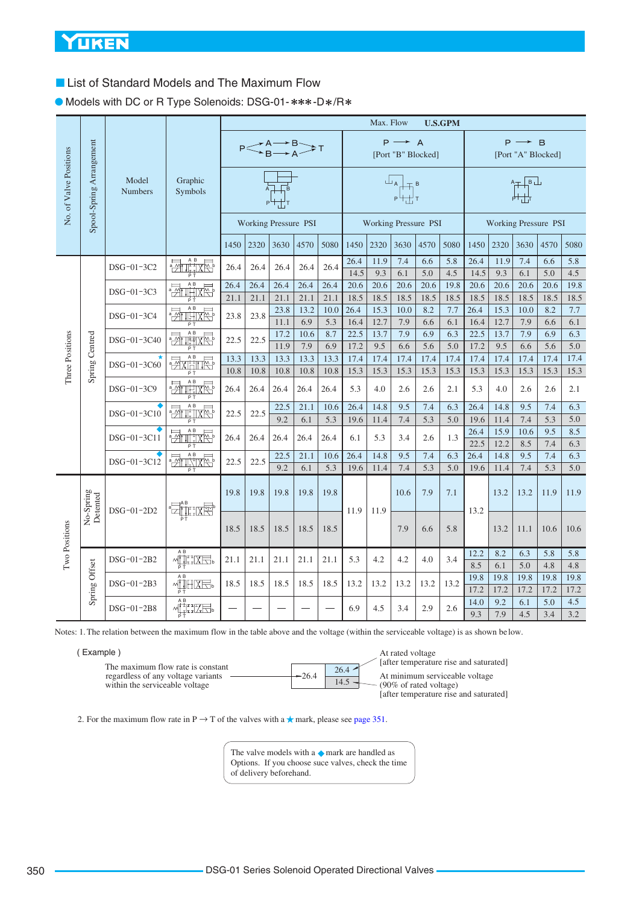■ List of Standard Models and The Maximum Flow

● Models with DC or R Type Solenoids: DSG-01- \*\*\*-D\*/R\*

|                        |                          |                         |                        | Max. Flow<br><b>U.S.GPM</b> |      |                                              |             |            |              |              |                                         |            |            |                           |                      |                                                                            |            |                         |
|------------------------|--------------------------|-------------------------|------------------------|-----------------------------|------|----------------------------------------------|-------------|------------|--------------|--------------|-----------------------------------------|------------|------------|---------------------------|----------------------|----------------------------------------------------------------------------|------------|-------------------------|
|                        |                          |                         |                        |                             |      | $P \leq^{A \rightarrow B}_{B \rightarrow A}$ |             |            |              |              | $P \rightarrow A$<br>[Port "B" Blocked] |            |            |                           | P                    | $\rightarrow$ B<br>[Port "A" Blocked]                                      |            |                         |
| No. of Valve Positions | Spool-Spring Arrangement | Model<br><b>Numbers</b> | Graphic<br>Symbols     |                             |      |                                              |             |            |              |              | ╙╻╟╤╒<br>┍╙┽╀┰                          |            |            |                           |                      | $\begin{array}{c} 1 \ \hline 1 \ \hline 1 \ \hline 1 \ \hline \end{array}$ |            |                         |
|                        |                          |                         |                        |                             |      | <b>Working Pressure PSI</b>                  |             |            |              |              | <b>Working Pressure PSI</b>             |            |            |                           | Working Pressure PSI |                                                                            |            |                         |
|                        |                          |                         |                        | 1450                        | 2320 | 3630                                         | 4570        | 5080       | 1450         | 2320         | 3630                                    | 4570       | 5080       | 1450                      | 2320                 | 3630                                                                       | 4570       | 5080                    |
|                        |                          | DSG-01-3C2              | <b>ETTLE</b>           | 26.4                        | 26.4 | 26.4                                         | 26.4        | 26.4       | 26.4<br>14.5 | 11.9<br>9.3  | 7.4<br>6.1                              | 6.6<br>5.0 | 5.8<br>4.5 | 26.4<br>14.5              | 11.9<br>9.3          | 7.4<br>6.1                                                                 | 6.6<br>5.0 | 5.8<br>4.5              |
|                        |                          | DSG-01-3C3              | A B<br><b>Printixe</b> | 26.4                        | 26.4 | 26.4                                         | 26.4        | 26.4       | 20.6         | 20.6         | 20.6                                    | 20.6       | 19.8       | 20.6                      | 20.6                 | 20.6                                                                       | 20.6       | 19.8                    |
|                        |                          |                         |                        | 21.1                        | 21.1 | 21.1                                         | 21.1        | 21.1       | 18.5         | 18.5         | 18.5                                    | 18.5       | 18.5       | 18.5                      | 18.5                 | 18.5                                                                       | 18.5       | 18.5                    |
|                        |                          | DSG-01-3C4              | 謂來                     | 23.8                        | 23.8 | 23.8                                         | 13.2        | 10.0       | 26.4         | 15.3         | 10.0                                    | 8.2        | 7.7        | 26.4                      | 15.3                 | 10.0                                                                       | 8.2        | 7.7                     |
|                        |                          |                         |                        |                             |      | 11.1                                         | 6.9         | 5.3        | 16.4         | 12.7<br>13.7 | 7.9<br>7.9                              | 6.6        | 6.1<br>6.3 | 16.4                      | 12.7<br>13.7         | 7.9<br>7.9                                                                 | 6.6<br>6.9 | 6.1                     |
|                        | Spring Centred           | DSG-01-3C40             | $\frac{1}{2}$          | 22.5                        | 22.5 | 17.2<br>11.9                                 | 10.6<br>7.9 | 8.7<br>6.9 | 22.5<br>17.2 | 9.5          | 6.6                                     | 6.9<br>5.6 | 5.0        | 22.5<br>17.2              | 9.5                  | 6.6                                                                        | 5.6        | 6.3<br>$\overline{5.0}$ |
| Three Positions        |                          |                         | A B                    | 13.3                        | 13.3 | 13.3                                         | 13.3        | 13.3       | 17.4         | 17.4         | 17.4                                    | 17.4       | 17.4       | 17.4                      | 17.4                 | 17.4                                                                       | 17.4       | 17.4                    |
|                        |                          | DSG-01-3C60             | .<br>정재배 전             | 10.8                        | 10.8 | 10.8                                         | 10.8        | 10.8       | 15.3         | 15.3         | 15.3                                    | 15.3       | 15.3       | 15.3                      | 15.3                 | 15.3                                                                       | 15.3       | 15.3                    |
|                        |                          | DSG-01-3C9              | <b>Zulive</b>          | 26.4                        | 26.4 | 26.4                                         | 26.4        | 26.4       | 5.3          | 4.0          | 2.6                                     | 2.6        | 2.1        | 5.3                       | 4.0                  | 2.6                                                                        | 2.6        | 2.1                     |
|                        |                          |                         | أثارك                  |                             |      | 22.5                                         | 21.1        | 10.6       | 26.4         | 14.8         | 9.5                                     | 7.4        | 6.3        | 26.4                      | 14.8                 | 9.5                                                                        | 7.4        | 6.3                     |
|                        |                          | DSG-01-3C10             |                        | 22.5                        | 22.5 | 9.2                                          | 6.1         | 5.3        | 19.6         | 11.4         | 7.4                                     | 5.3        | 5.0        | 19.6                      | 11.4                 | 7.4                                                                        | 5.3        | 5.0                     |
|                        |                          | DSG-01-3C11             | A B<br>WHA             | 26.4                        | 26.4 | 26.4                                         | 26.4        | 26.4       | 6.1          | 5.3          | 3.4                                     | 2.6        | 1.3        | 26.4<br>$\overline{22.5}$ | 15.9<br>12.2         | 10.6<br>8.5                                                                | 9.5<br>7.4 | 8.5<br>6.3              |
|                        |                          |                         |                        |                             |      | 22.5                                         | 21.1        | 10.6       | 26.4         | 14.8         | 9.5                                     | 7.4        | 6.3        | 26.4                      | 14.8                 | 9.5                                                                        | 7.4        | 6.3                     |
|                        |                          | DSG-01-3C12             | $\frac{1}{2}$          | 22.5                        | 22.5 | 9.2                                          | 6.1         | 5.3        | 19.6         | 11.4         | 7.4                                     | 5.3        | 5.0        | 19.6                      | 11.4                 | 7.4                                                                        | 5.3        | 5.0                     |
|                        | No-Spring<br>Detented    |                         | <b>Eil</b> ike         | 19.8                        | 19.8 | 19.8                                         | 19.8        | 19.8       |              |              | 10.6                                    | 7.9        | 7.1        |                           | 13.2                 | 13.2                                                                       | 11.9       | 11.9                    |
| Two Positions          |                          | $DSG-01-2D2$            |                        | 18.5                        | 18.5 | 18.5                                         | 18.5        | 18.5       | 11.9         | 11.9         | 7.9                                     | 6.6        | 5.8        | 13.2                      | 13.2                 | 11.1                                                                       | 10.6       | 10.6                    |
|                        |                          | DSG-01-2B2              | A B<br><b>MULIXE</b>   | 21.1                        | 21.1 | 21.1                                         | 21.1        | 21.1       | 5.3          | 4.2          | 4.2                                     | 4.0        | 3.4        | 12.2                      | 8.2                  | 6.3                                                                        | 5.8        | 5.8                     |
|                        |                          |                         | РŤ                     |                             |      |                                              |             |            |              |              |                                         |            |            | 8.5                       | 6.1                  | 5.0                                                                        | 4.8        | 4.8                     |
|                        | Spring Offset            | DSG-01-2B3              | A B<br><b>MIHIXE</b>   | 18.5                        | 18.5 | 18.5                                         | 18.5        | 18.5       | 13.2         | 13.2         | 13.2                                    | 13.2       | 13.2       | 19.8                      | 19.8                 | 19.8                                                                       | 19.8       | 19.8                    |
|                        |                          |                         | A B                    |                             |      |                                              |             |            |              |              |                                         |            |            | 17.2                      | 17.2                 | 17.2                                                                       | 17.2       | 17.2                    |
|                        |                          | DSG-01-2B8              | MTHZEL                 |                             |      |                                              |             |            | 6.9          | 4.5          | 3.4                                     | 2.9        | 2.6        | 14.0<br>9.3               | 9.2<br>7.9           | 6.1<br>4.5                                                                 | 5.0<br>3.4 | 4.5<br>3.2              |

Notes: 1. The relation between the maximum flow in the table above and the voltage (within the serviceable voltage) is as shown be low.

| (Example |  |
|----------|--|
|          |  |

|                                    |         |               | <b>lafter</b> te    |
|------------------------------------|---------|---------------|---------------------|
| The maximum flow rate is constant  |         | $26.4$ $\sim$ |                     |
| regardless of any voltage variants | $-26.4$ |               | At mini             |
| within the serviceable voltage     |         |               | $(90\% \text{ of }$ |
|                                    |         |               |                     |

At rated voltage emperature rise and saturated] imum serviceable voltage f rated voltage) [after temperature rise and saturated]

2. For the maximum flow rate in P  $\rightarrow$  T of the valves with a  $\star$  mark, please see [page 351.](#page-7-0)

The valve models with a  $\blacklozenge$  mark are handled as Options. If you choose suce valves, check the time of delivery beforehand.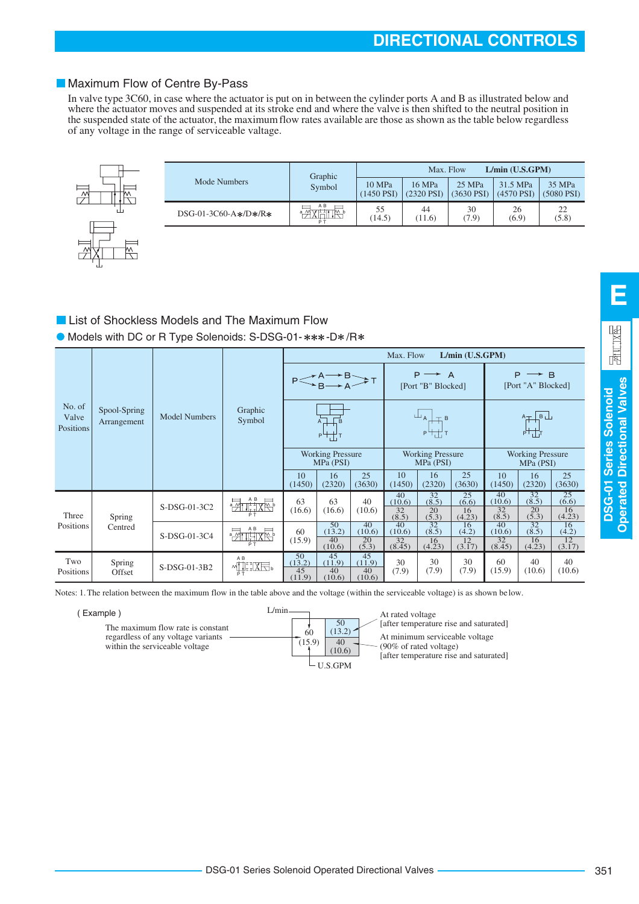# <span id="page-7-0"></span>Maximum Flow of Centre By-Pass

In valve type 3C60, in case where the actuator is put on in between the cylinder ports A and B as illustrated below and where the actuator moves and suspended at its stroke end and where the valve is then shifted to the neutral position in the suspended state of the actuator, the maximum flow rates available are those as shown as the table below regardless of any voltage in the range of serviceable valtage.

| J |  |
|---|--|
|   |  |

| Mode Numbers           | Graphic | L/min (U.S.GPM)<br>Max. Flow |                           |                        |                        |                           |  |  |
|------------------------|---------|------------------------------|---------------------------|------------------------|------------------------|---------------------------|--|--|
|                        | Symbol  | 10 MPa<br>(1450 PST)         | 16 MPa<br>$(2320$ PSI $)$ | 25 MPa<br>$(3630$ PSI) | 31.5 MPa<br>(4570 PST) | 35 MPa<br>$(5080$ PSI $)$ |  |  |
| $DSG-01-3C60-A*/D*/R*$ | A B     | 55<br>(14.5)                 | 44<br>(11.6)              | 30<br>(7.9)            | 26<br>(6.9)            | 22<br>(5.8)               |  |  |

# **List of Shockless Models and The Maximum Flow**

Models with DC or R Type Solenoids: S-DSG-01-\*\*\*-D\*/R\*

|                              |                             |                      |                                                                                                                                                                                                                                                                                                                                                                       | L/min (U.S.GPM)<br>Max. Flow           |                                        |                                              |                                 |                            |                                         |                                 |                                |                        |  |  |                                                                                                                                                                                                                                                                                               |  |  |
|------------------------------|-----------------------------|----------------------|-----------------------------------------------------------------------------------------------------------------------------------------------------------------------------------------------------------------------------------------------------------------------------------------------------------------------------------------------------------------------|----------------------------------------|----------------------------------------|----------------------------------------------|---------------------------------|----------------------------|-----------------------------------------|---------------------------------|--------------------------------|------------------------|--|--|-----------------------------------------------------------------------------------------------------------------------------------------------------------------------------------------------------------------------------------------------------------------------------------------------|--|--|
|                              |                             |                      |                                                                                                                                                                                                                                                                                                                                                                       | $P \leq A \rightarrow B \rightarrow A$ |                                        | $P \rightarrow$<br>- A<br>[Port "B" Blocked] |                                 |                            | $P \rightarrow B$<br>[Port "A" Blocked] |                                 |                                |                        |  |  |                                                                                                                                                                                                                                                                                               |  |  |
| No. of<br>Valve<br>Positions | Spool-Spring<br>Arrangement | <b>Model Numbers</b> |                                                                                                                                                                                                                                                                                                                                                                       | Graphic<br>Symbol                      |                                        |                                              |                                 |                            | $A + B$<br>$P^{\perp}$                  |                                 |                                | ╙╻┼╤╒<br>╒┞┼┦┰         |  |  | $\begin{array}{c} A \perp B \perp \cr \downarrow \cr \downarrow \cr \downarrow \cr \downarrow \cr \downarrow \cr \end{array}$<br><b>Working Pressure</b><br>MPa (PSI)<br>25<br>10<br>16<br>(2320)<br>(3630)<br>32<br>25<br>40<br>(8.5)<br>(6.6)<br>32<br>20<br>16<br>(4.23)<br>(5.3)<br>(8.5) |  |  |
|                              |                             |                      |                                                                                                                                                                                                                                                                                                                                                                       | <b>Working Pressure</b><br>MPa (PSI)   |                                        | <b>Working Pressure</b><br>MPa (PSI)         |                                 |                            |                                         |                                 |                                |                        |  |  |                                                                                                                                                                                                                                                                                               |  |  |
|                              |                             |                      |                                                                                                                                                                                                                                                                                                                                                                       | 10<br>(1450)                           | 16<br>(2320)                           | 25<br>(3630)                                 | 10<br>(1450)                    | 16<br>(2320)               | 25<br>(3630)                            | (1450)                          |                                |                        |  |  |                                                                                                                                                                                                                                                                                               |  |  |
| Three                        | Spring                      | S-DSG-01-3C2         | $\frac{1}{2}$                                                                                                                                                                                                                                                                                                                                                         | 63<br>(16.6)                           | 63<br>(16.6)                           | 40<br>(10.6)                                 | 40<br>(10.6)<br>32<br>(8.5)     | 32<br>(8.5)<br>20<br>(5.3) | 25<br>(6.6)<br>16<br>(4.23)             | (10.6)                          |                                |                        |  |  |                                                                                                                                                                                                                                                                                               |  |  |
| Positions                    | Centred                     | S-DSG-01-3C4         | A B<br>$\frac{1}{2}$                                                                                                                                                                                                                                                                                                                                                  | 60<br>(15.9)                           | 50<br>(13.2)<br>40                     | 40<br>(10.6)<br>20                           | 40<br>(10.6)<br>$\overline{32}$ | 32<br>(8.5)<br>16          | 16<br>(4.2)<br>$\overline{12}$          | 40<br>(10.6)<br>$\overline{32}$ | $\overline{32}$<br>(8.5)<br>16 | 16<br>(4.2)<br>12      |  |  |                                                                                                                                                                                                                                                                                               |  |  |
| Two<br>Positions             | Spring<br>Offset            | S-DSG-01-3B2         | A <sub>B</sub><br>$\begin{picture}(120,115) \put(0,0){\line(1,0){15}} \put(15,0){\line(1,0){15}} \put(15,0){\line(1,0){15}} \put(15,0){\line(1,0){15}} \put(15,0){\line(1,0){15}} \put(15,0){\line(1,0){15}} \put(15,0){\line(1,0){15}} \put(15,0){\line(1,0){15}} \put(15,0){\line(1,0){15}} \put(15,0){\line(1,0){15}} \put(15,0){\line(1,0){15}} \put(15,0){\line$ | 50<br>(13.2)<br>45<br>(11.9)           | (10.6)<br>45<br>(11.9)<br>40<br>(10.6) | (5.3)<br>45<br>(11.9)<br>40<br>(10.6)        | (8.45)<br>30<br>(7.9)           | (4.23)<br>30<br>(7.9)      | (3.17)<br>30<br>(7.9)                   | (8.45)<br>60<br>(15.9)          | (4.23)<br>40<br>(10.6)         | (3.17)<br>40<br>(10.6) |  |  |                                                                                                                                                                                                                                                                                               |  |  |

Notes: 1. The relation between the maximum flow in the table above and the voltage (within the serviceable voltage) is as shown be low.

| Example)                                                                                                  | $\mu$ min                                                 | At rated voltage                                                                                                                                        |
|-----------------------------------------------------------------------------------------------------------|-----------------------------------------------------------|---------------------------------------------------------------------------------------------------------------------------------------------------------|
| The maximum flow rate is constant<br>regardless of any voltage variants<br>within the serviceable voltage | 50<br>13.2<br>60<br>40<br>(15.9)<br>(10.6)<br>$-$ U.S.GPM | [after temperature rise and saturated]<br>At minimum serviceable voltage<br>$(90\% \text{ of rated voltage})$<br>[after temperature rise and saturated] |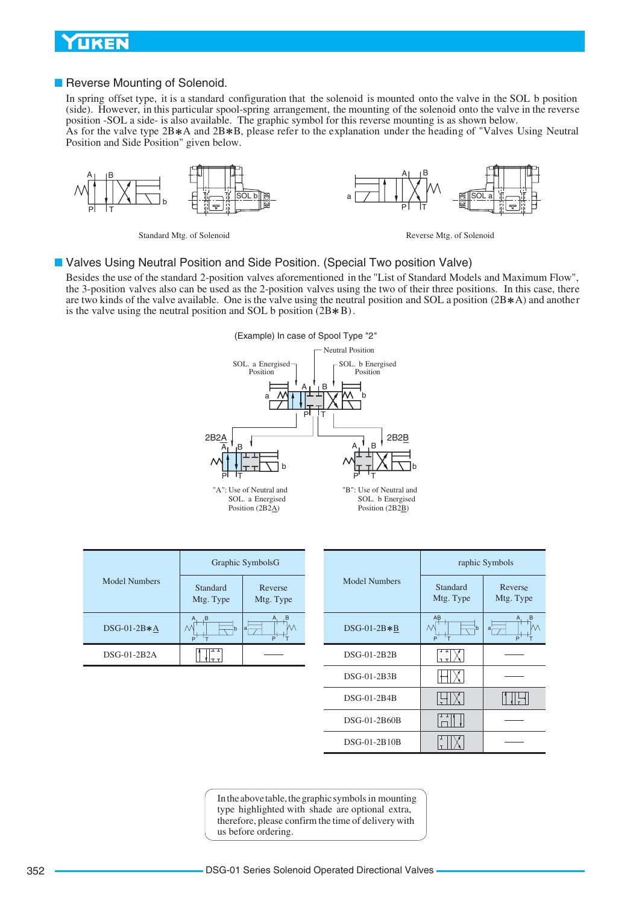# <span id="page-8-0"></span>**UKEN**

#### Reverse Mounting of Solenoid.

In spring offset type, it is a standard configuration that the solenoid is mounted onto the valve in the SOL b position (side). However, in this particular spool-spring arrangement, the mounting of the solenoid onto the valve in the reverse position -SOL a side- is also available. The graphic symbol for this reverse mounting is as shown below.

As for the valve type 2B  $*A$  and 2B  $*B$ , please refer to the explanation under the heading of "Valves Using Neutral Position and Side Position" given below.



Standard Mtg. of Solenoid Reverse Mtg. of Solenoid

#### Valves Using Neutral Position and Side Position. (Special Two position Valve)

Besides the use of the standard 2-position valves aforementioned in the "List of Standard Models and Maximum Flow", the 3-position valves also can be used as the 2-position valves using the two of their three positions. In this case, there are two kinds of the valve available. One is the valve using the neutral position and SOL a position  $(2B*A)$  and another is the valve using the neutral position and SOL b position  $(2B*B)$ .



|  | Graphic SymbolsG     |                       |                          |  | rap                  |                       |
|--|----------------------|-----------------------|--------------------------|--|----------------------|-----------------------|
|  | <b>Model Numbers</b> | Standard<br>Mtg. Type | Reverse<br>Mtg. Type     |  | <b>Model Numbers</b> | Standard<br>Mtg. Type |
|  | $DSG-01-2B*A$        | $\cdot$ B<br>A<br>M   | B,<br>A<br>М<br>∣a—<br>P |  | $DSG-01-2B*B$        | AB<br>۸۸              |
|  | DSG-01-2B2A          |                       |                          |  | $DSG-01-2B2B$        |                       |

| Graphic SymbolsG |                      |                      | raphic Symbols        |                      |  |
|------------------|----------------------|----------------------|-----------------------|----------------------|--|
| dard<br>Type     | Reverse<br>Mtg. Type | <b>Model Numbers</b> | Standard<br>Mtg. Type | Reverse<br>Mtg. Type |  |
|                  | M<br>lai<br>P        | $DSG-01-2B*B$        | AB<br>М<br>P          | $a_r$<br>P           |  |
| ᅟ<br>ᇊ           |                      | DSG-01-2B2B          |                       |                      |  |
|                  |                      | DSG-01-2B3B          |                       |                      |  |
|                  |                      | $DSG-01-2B4B$        |                       |                      |  |
|                  |                      | DSG-01-2B60B         |                       |                      |  |
|                  |                      | DSG-01-2B10B         |                       |                      |  |

In the above table, the graphic symbols in mounting type highlighted with shade are optional extra, therefore, please confirm the time of delivery with us before ordering.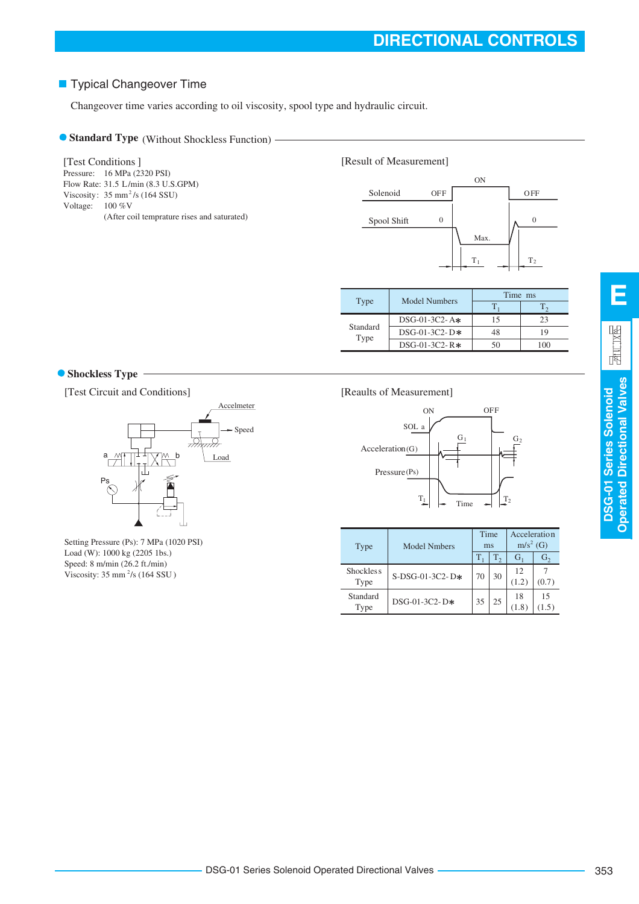# **Typical Changeover Time**

Changeover time varies according to oil viscosity, spool type and hydraulic circuit.

# **Standard Type** (Without Shockless Function) -

Pressure: 16 MPa (2320 PSI) Flow Rate: 31.5 L/min (8.3 U.S.GPM) Viscosity:  $35 \text{ mm}^2/\text{s}$  (164 SSU) Voltage:  $100\%V$ (After coil temprature rises and saturated) [Test Conditions]





|          |                  | Time ms |    |  |
|----------|------------------|---------|----|--|
| Type     | Model Numbers    |         |    |  |
| Standard | $DSG-01-3C2-$ A* | 15      | 23 |  |
|          | $DSG-01-3C2-D*$  | 48      | 19 |  |
| Type     | $DSG-01-3C2-R*$  | 50      |    |  |

### **Shockless Type**

[Test Circuit and Conditions]



Setting Pressure (Ps): 7 MPa (1020 PSI) Load (W): 1000 kg (2205 1bs.) Speed: 8 m/min (26.2 ft./min) Viscosity:  $35 \text{ mm}^2/\text{s}$  (164 SSU)

### [Reaults of Measurement]



| Type                     | <b>Model Nmbers</b> |         | Time<br>ms | Acceleration<br>$m/s2$ (G) |                |
|--------------------------|---------------------|---------|------------|----------------------------|----------------|
|                          |                     | $T_{1}$ | $T_{2}$    | $G_1$                      | G <sub>2</sub> |
| <b>Shockless</b><br>Type | $S-DSG-01-3C2-D*$   | 70      | 30         | 12<br>(1.2)                | (0.7)          |
| Standard<br>Type         | $DSG-01-3C2-D*$     | 35      | 25         | 18<br>(1.8)                | 15             |

**E**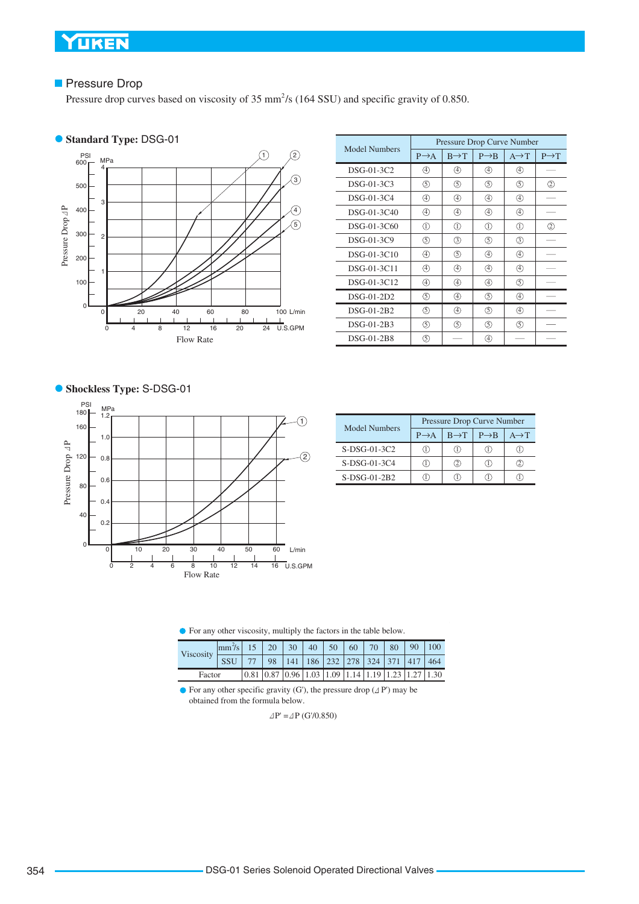### **Pressure Drop**

Pressure drop curves based on viscosity of 35 mm<sup>2</sup>/s (164 SSU) and specific gravity of 0.850.

# **Standard Type:** DSG-01



|                      | Pressure Drop Curve Number |                   |                   |                   |                   |  |  |
|----------------------|----------------------------|-------------------|-------------------|-------------------|-------------------|--|--|
| <b>Model Numbers</b> | $P \rightarrow A$          | $B \rightarrow T$ | $P \rightarrow R$ | $A \rightarrow T$ | $P \rightarrow T$ |  |  |
| DSG-01-3C2           | 4                          | A)                | 40                | A)                |                   |  |  |
| DSG-01-3C3           | (5)                        | (5)               | (5)               | (5)               | 2                 |  |  |
| DSG-01-3C4           | 4)                         | 4)                | 4                 | ④                 |                   |  |  |
| DSG-01-3C40          | 4                          | ④                 | ④                 | ④                 |                   |  |  |
| DSG-01-3C60          | $\textcircled{1}$          | ⋒                 | $\textcircled{1}$ | ①                 | $^{\circledR}$    |  |  |
| DSG-01-3C9           | (5)                        | (3)               | (5)               | (3)               |                   |  |  |
| DSG-01-3C10          | ④                          | (5)               | ④                 | ④                 |                   |  |  |
| DSG-01-3C11          | ④                          | ④                 | ④                 | ⊕                 |                   |  |  |
| DSG-01-3C12          | ④                          | ④                 | ④                 | ⑤                 |                   |  |  |
| DSG-01-2D2           | ⑤                          | 4                 | (5)               | 4                 |                   |  |  |
| DSG-01-2B2           | ⑤                          | ④                 | (5)               | ④                 |                   |  |  |
| DSG-01-2B3           | (5)                        | (5)               | (5)               | (5)               |                   |  |  |
| DSG-01-2B8           | (5)                        |                   | (4)               |                   |                   |  |  |

### **• Shockless Type: S-DSG-01**



| <b>Model Numbers</b> | Pressure Drop Curve Number |                   |                   |                   |  |  |
|----------------------|----------------------------|-------------------|-------------------|-------------------|--|--|
|                      | $P \rightarrow A$          | $B \rightarrow T$ | $P \rightarrow B$ | $A \rightarrow T$ |  |  |
| $S-DSG-01-3C2$       | Т.                         |                   |                   |                   |  |  |
| $S-DSG-01-3C4$       | Т.                         |                   |                   |                   |  |  |
| $S-DSG-01-2B2$       |                            |                   |                   |                   |  |  |

For any other viscosity, multiply the factors in the table below.

| Viscosity | $\left \text{mm}^2\text{/s}\right $ 15   20   30   40   50   60   70   80   90   100 |  |                                                                                                                 |  |  |  |  |
|-----------|--------------------------------------------------------------------------------------|--|-----------------------------------------------------------------------------------------------------------------|--|--|--|--|
|           | SSU 77 98 141 186 232 278 324 371 417 464                                            |  |                                                                                                                 |  |  |  |  |
| Factor    |                                                                                      |  | $\vert 0.81 \vert 0.87 \vert 0.96 \vert 1.03 \vert 1.09 \vert 1.14 \vert 1.19 \vert 1.23 \vert 1.27 \vert 1.30$ |  |  |  |  |

 $\bullet$  For any other specific gravity (G'), the pressure drop ( $\Delta P'$ ) may be obtained from the formula below.

 $\Delta P' = \Delta P$  (G'/0.850)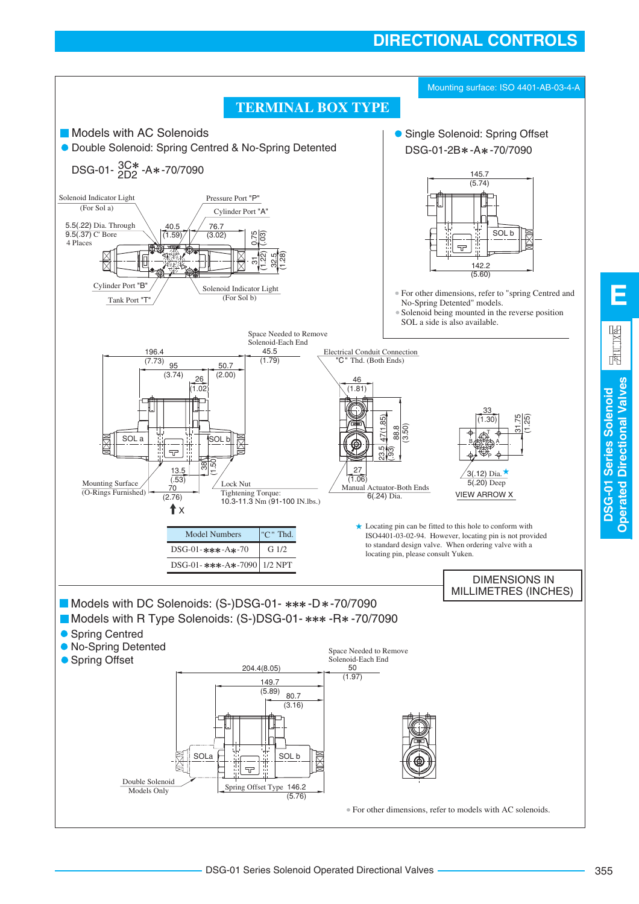# **DIRECTIONAL CONTROLS**



**Operated Directional Valves**

**Operated Directional Valves**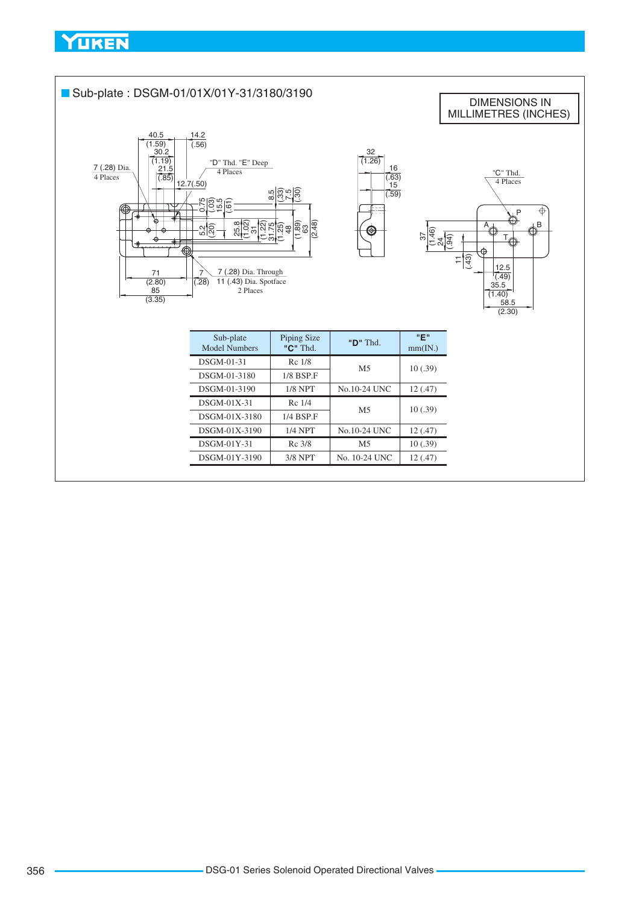<span id="page-12-0"></span>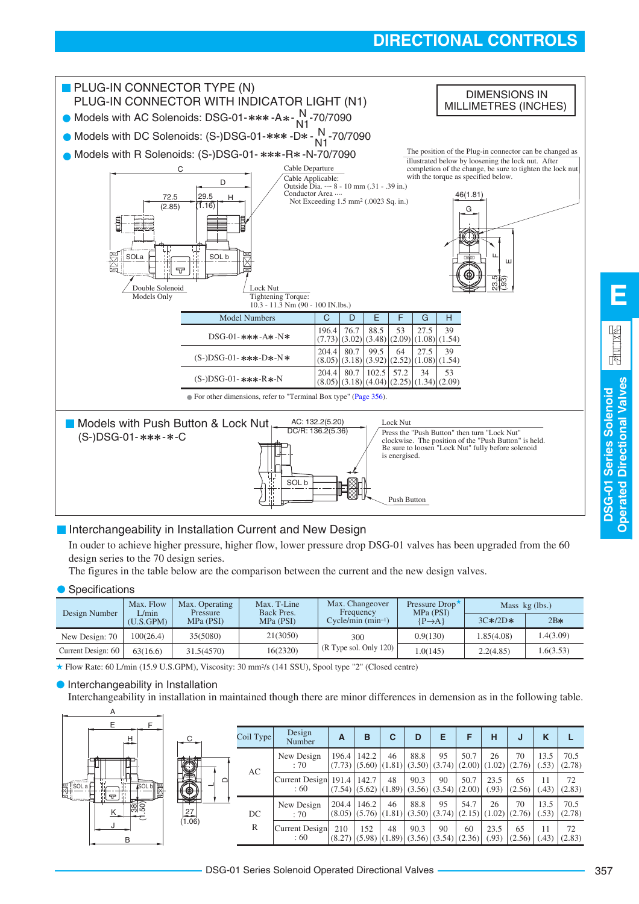# **DIRECTIONAL CONTROLS**



# **Interchangeability in Installation Current and New Design**

In ouder to achieve higher pressure, higher flow, lower pressure drop DSG-01 valves has been upgraded from the 60 design series to the 70 design series.

The figures in the table below are the comparison between the current and the new design valves.

#### ● Specifications

|                    | Max. Flow<br>L/min | Max. Operating<br>Pressure | Max. T-Line<br>Back Pres. | Max. Changeover<br>Frequency | Pressure Drop <sup>*</sup><br>MPa (PSI) | Mass $kg$ (lbs.) |           |
|--------------------|--------------------|----------------------------|---------------------------|------------------------------|-----------------------------------------|------------------|-----------|
| Design Number      | (U.S.GPM)          | MPa (PSI)                  | MPa (PSI)                 | $C$ ycle/min $(min^{-1})$    | $\{P\rightarrow A\}$                    | $3C*/2D*$        | $2B*$     |
| New Design: 70     | 100(26.4)          | 35(5080)                   | 21(3050)                  | 300                          | 0.9(130)                                | 1.85(4.08)       | .4(3.09)  |
| Current Design: 60 | 63(16.6)           | 31.5(4570)                 | 16(2320)                  | (R Type sol. Only 120)       | 1.0(145)                                | 2.2(4.85)        | 1.6(3.53) |

★ Flow Rate: 60 L/min (15.9 U.S.GPM), Viscosity: 30 mm<sup>2</sup> /s (141 SSU), Spool type "2" (Closed centre)

#### **• Interchangeability in Installation**

Interchangeability in installation in maintained though there are minor differences in demension as in the following table.



**DSG-01 Series Solenoid Operated Directional Valves**

**Operated Directional Valves DSG-01 Series Solenoid** 

**E**

园 11.1X民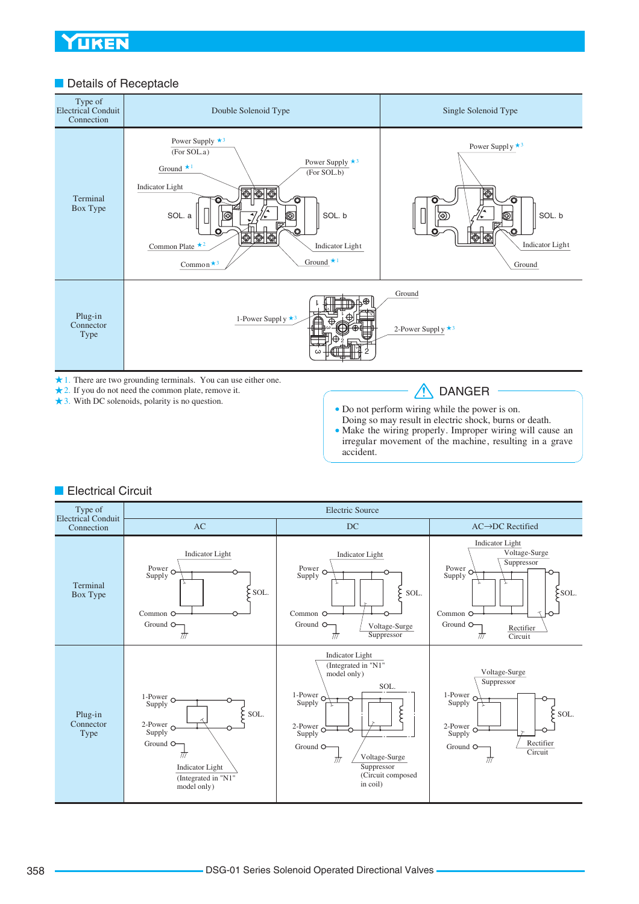# **Details of Receptacle**



3. With DC solenoids, polarity is no question.

Do not perform wiring while the power is on.

Doing so may result in electric shock, burns or death. Make the wiring properly. Improper wiring will cause an irregular movement of the machine, resulting in a grave accident.

# **Electrical Circuit**

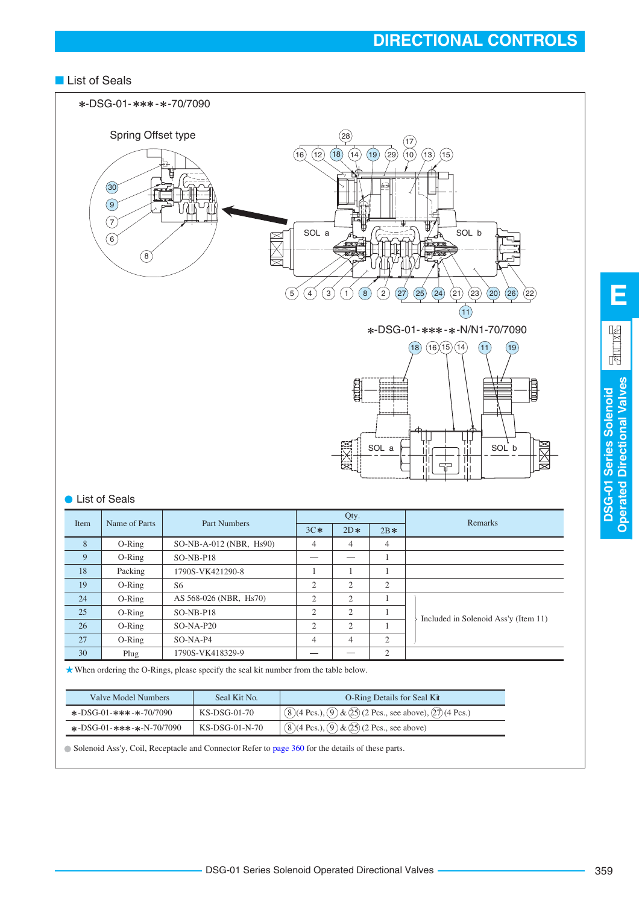# ■ List of Seals



| Name of Parts<br>Item | Part Numbers | Qty.                      |       |                | Remarks        |                                      |
|-----------------------|--------------|---------------------------|-------|----------------|----------------|--------------------------------------|
|                       |              | $3C*$                     | $2D*$ | $2B*$          |                |                                      |
| 8                     | $O-Ring$     | $SO-NB-A-012$ (NBR, Hs90) | 4     | $\overline{4}$ | 4              |                                      |
| 9                     | $O-Ring$     | $SO-NB-PI8$               |       |                | 1              |                                      |
| 18                    | Packing      | 1790S-VK421290-8          |       |                |                |                                      |
| 19                    | $O-Ring$     | S6                        | 2     | 2              | 2              |                                      |
| 24                    | $O-Ring$     | AS 568-026 (NBR, Hs70)    | 2     | 2              | 1              |                                      |
| 25                    | $O-Ring$     | $SO-NB-PI8$               | 2     | 2              |                | Included in Solenoid Ass'y (Item 11) |
| 26                    | $O-Ring$     | $SO-NA-P20$               | 2     | 2              |                |                                      |
| 27                    | $O-Ring$     | $SO-NA-P4$                | 4     | $\overline{4}$ | 2              |                                      |
| 30                    | Plug         | 1790S-VK418329-9          |       |                | $\overline{c}$ |                                      |
|                       |              |                           |       |                |                |                                      |

When ordering the O-Rings, please specify the seal kit number from the table below.

| Valve Model Numbers                                     | Seal Kit No.   | O-Ring Details for Seal Kit                                                        |
|---------------------------------------------------------|----------------|------------------------------------------------------------------------------------|
| $\text{*}-DSG-01-\text{*}*\text{*}-\text{*}-70/7090$    | KS-DSG-01-70   | $(8)(4 \text{ Pcs.})$ , $(9)$ & $(25)$ (2 Pcs., see above), $(27)(4 \text{ Pcs.})$ |
| $\star$ -DSG-01- $\star\star\star$ - $\star$ -N-70/7090 | KS-DSG-01-N-70 | $(8)(4 \text{ Pcs.})$ , $(9)$ & $(25)(2 \text{ Pcs.})$ , see above)                |

Solenoid Ass'y, Coil, Receptacle and Connector Refer to [page 360](#page-16-0) for the details of these parts.

**DSG-01 Series Solenoid Operated Directional Valves**

**DSG-01 Series Solenoid**<br>Operated Directional Valves

**E**

 $\frac{1}{2}$